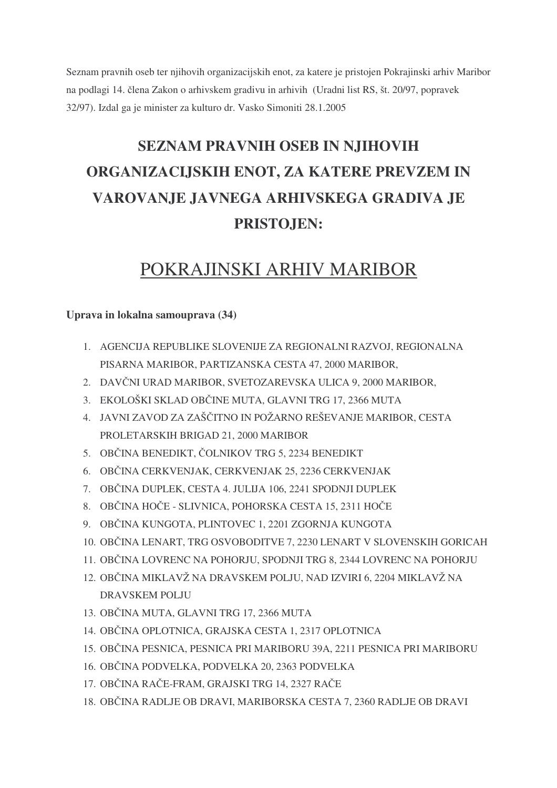Seznam pravnih oseb ter njihovih organizacijskih enot, za katere je pristojen Pokrajinski arhiv Maribor na podlagi 14. člena Zakon o arhivskem gradivu in arhivih (Uradni list RS, št. 20/97, popravek 32/97). Izdal ga je minister za kulturo dr. Vasko Simoniti 28.1.2005

# **SEZNAM PRAVNIH OSEB IN NJIHOVIH ORGANIZACIJSKIH ENOT, ZA KATERE PREVZEM IN VAROVANJE JAVNEGA ARHIVSKEGA GRADIVA JE PRISTOJEN:**

# POKRAJINSKI ARHIV MARIBOR

#### **Uprava in lokalna samouprava (34)**

- 1. AGENCIJA REPUBLIKE SLOVENIJE ZA REGIONALNI RAZVOJ, REGIONALNA PISARNA MARIBOR, PARTIZANSKA CESTA 47, 2000 MARIBOR,
- 2. DAVČNI URAD MARIBOR, SVETOZAREVSKA ULICA 9, 2000 MARIBOR,
- 3. EKOLOŠKI SKLAD OBČINE MUTA, GLAVNI TRG 17, 2366 MUTA
- 4. JAVNI ZAVOD ZA ZAŠČITNO IN POŽARNO REŠEVANJE MARIBOR, CESTA PROLETARSKIH BRIGAD 21, 2000 MARIBOR
- 5. OBČINA BENEDIKT, ČOLNIKOV TRG 5, 2234 BENEDIKT
- 6. OBČINA CERKVENJAK, CERKVENJAK 25, 2236 CERKVENJAK
- 7. OBČINA DUPLEK, CESTA 4. JULIJA 106, 2241 SPODNJI DUPLEK
- 8. OBČINA HOČE SLIVNICA, POHORSKA CESTA 15, 2311 HOČE
- 9. OBČINA KUNGOTA, PLINTOVEC 1, 2201 ZGORNJA KUNGOTA
- 10. OBČINA LENART, TRG OSVOBODITVE 7, 2230 LENART V SLOVENSKIH GORICAH
- 11. OBČINA LOVRENC NA POHORJU, SPODNJI TRG 8, 2344 LOVRENC NA POHORJU
- 12. OBČINA MIKLAVŽ NA DRAVSKEM POLJU, NAD IZVIRI 6, 2204 MIKLAVŽ NA DRAVSKEM POLJU
- 13. OBČINA MUTA, GLAVNI TRG 17, 2366 MUTA
- 14. OBČINA OPLOTNICA, GRAJSKA CESTA 1, 2317 OPLOTNICA
- 15. OBČINA PESNICA, PESNICA PRI MARIBORU 39A, 2211 PESNICA PRI MARIBORU
- 16. OBČINA PODVELKA, PODVELKA 20, 2363 PODVELKA
- 17. OBČINA RAČE-FRAM, GRAJSKI TRG 14, 2327 RAČE
- 18. OBČINA RADLJE OB DRAVI, MARIBORSKA CESTA 7, 2360 RADLJE OB DRAVI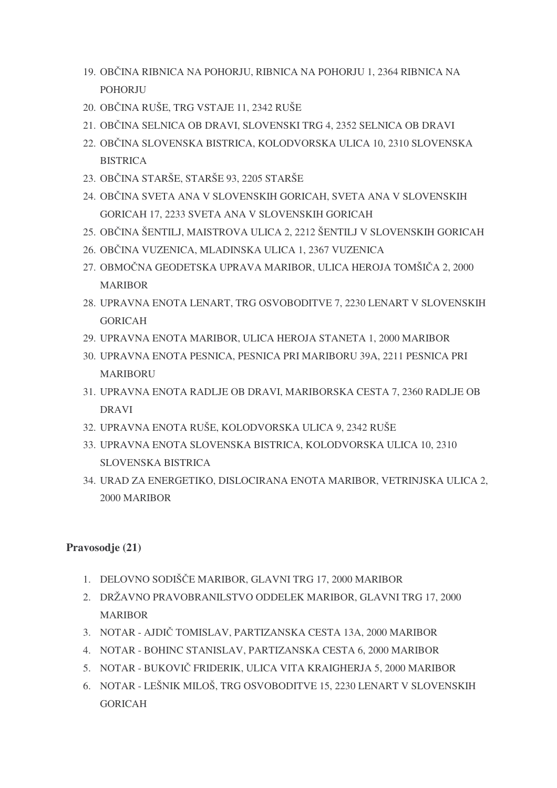- 19. OBČINA RIBNICA NA POHORJU, RIBNICA NA POHORJU 1, 2364 RIBNICA NA **POHORJU**
- 20. OBČINA RUŠE, TRG VSTAJE 11, 2342 RUŠE
- 21. OBČINA SELNICA OB DRAVI, SLOVENSKI TRG 4, 2352 SELNICA OB DRAVI
- 22. OBČINA SLOVENSKA BISTRICA, KOLODVORSKA ULICA 10, 2310 SLOVENSKA **BISTRICA**
- 23. OBČINA STARŠE, STARŠE 93, 2205 STARŠE
- 24. OBČINA SVETA ANA V SLOVENSKIH GORICAH, SVETA ANA V SLOVENSKIH GORICAH 17, 2233 SVETA ANA V SLOVENSKIH GORICAH
- 25. OBČINA ŠENTILJ, MAISTROVA ULICA 2, 2212 ŠENTILJ V SLOVENSKIH GORICAH
- 26. OBČINA VUZENICA, MLADINSKA ULICA 1, 2367 VUZENICA
- 27. OBMOČNA GEODETSKA UPRAVA MARIBOR, ULICA HEROJA TOMŠIČA 2, 2000 MARIBOR
- 28. UPRAVNA ENOTA LENART, TRG OSVOBODITVE 7, 2230 LENART V SLOVENSKIH GORICAH
- 29. UPRAVNA ENOTA MARIBOR, ULICA HEROJA STANETA 1, 2000 MARIBOR
- 30. UPRAVNA ENOTA PESNICA, PESNICA PRI MARIBORU 39A, 2211 PESNICA PRI MARIBORU
- 31. UPRAVNA ENOTA RADLJE OB DRAVI, MARIBORSKA CESTA 7, 2360 RADLJE OB DRAVI
- 32. UPRAVNA ENOTA RUŠE, KOLODVORSKA ULICA 9, 2342 RUŠE
- 33. UPRAVNA ENOTA SLOVENSKA BISTRICA, KOLODVORSKA ULICA 10, 2310 SLOVENSKA BISTRICA
- 34. URAD ZA ENERGETIKO, DISLOCIRANA ENOTA MARIBOR, VETRINJSKA ULICA 2, 2000 MARIBOR

#### **Pravosodje (21)**

- 1. DELOVNO SODIŠČE MARIBOR, GLAVNI TRG 17, 2000 MARIBOR
- 2. DRŽAVNO PRAVOBRANILSTVO ODDELEK MARIBOR, GLAVNI TRG 17, 2000 MARIBOR
- 3. NOTAR AJDIČ TOMISLAV, PARTIZANSKA CESTA 13A, 2000 MARIBOR
- 4. NOTAR BOHINC STANISLAV, PARTIZANSKA CESTA 6, 2000 MARIBOR
- 5. NOTAR BUKOVIČ FRIDERIK, ULICA VITA KRAIGHERJA 5, 2000 MARIBOR
- 6. NOTAR LEŠNIK MILOŠ, TRG OSVOBODITVE 15, 2230 LENART V SLOVENSKIH GORICAH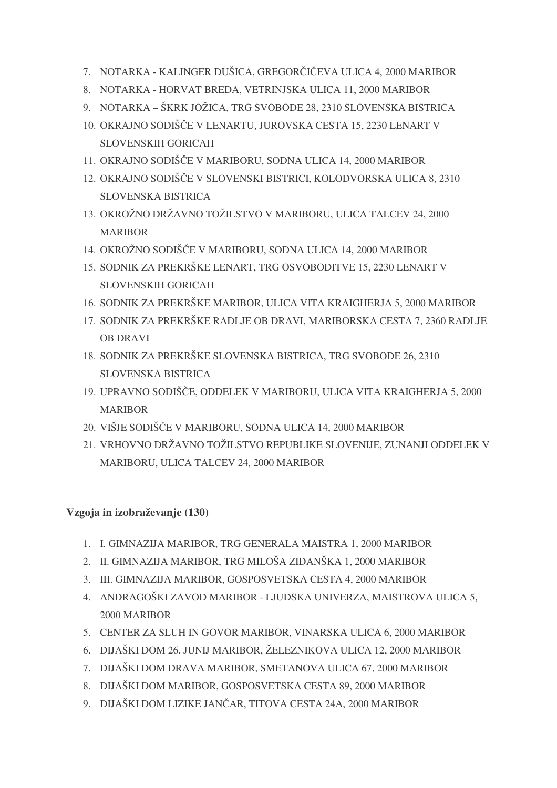- 7. NOTARKA KALINGER DUŠICA, GREGORČIČEVA ULICA 4, 2000 MARIBOR
- 8. NOTARKA HORVAT BREDA, VETRINJSKA ULICA 11, 2000 MARIBOR
- 9. NOTARKA ŠKRK JOŽICA, TRG SVOBODE 28, 2310 SLOVENSKA BISTRICA
- 10. OKRAJNO SODIŠČE V LENARTU, JUROVSKA CESTA 15, 2230 LENART V SLOVENSKIH GORICAH
- 11. OKRAJNO SODIŠČE V MARIBORU, SODNA ULICA 14, 2000 MARIBOR
- 12. OKRAJNO SODIŠČE V SLOVENSKI BISTRICI, KOLODVORSKA ULICA 8, 2310 SLOVENSKA BISTRICA
- 13. OKROŽNO DRŽAVNO TOŽILSTVO V MARIBORU, ULICA TALCEV 24, 2000 MARIBOR
- 14. OKROŽNO SODIŠČE V MARIBORU, SODNA ULICA 14, 2000 MARIBOR
- 15. SODNIK ZA PREKRŠKE LENART, TRG OSVOBODITVE 15, 2230 LENART V SLOVENSKIH GORICAH
- 16. SODNIK ZA PREKRŠKE MARIBOR, ULICA VITA KRAIGHERJA 5, 2000 MARIBOR
- 17. SODNIK ZA PREKRŠKE RADLJE OB DRAVI, MARIBORSKA CESTA 7, 2360 RADLJE OB DRAVI
- 18. SODNIK ZA PREKRŠKE SLOVENSKA BISTRICA, TRG SVOBODE 26, 2310 SLOVENSKA BISTRICA
- 19. UPRAVNO SODIŠČE, ODDELEK V MARIBORU, ULICA VITA KRAIGHERJA 5, 2000 MARIBOR
- 20. VIŠJE SODIŠČE V MARIBORU, SODNA ULICA 14, 2000 MARIBOR
- 21. VRHOVNO DRŽAVNO TOŽILSTVO REPUBLIKE SLOVENIJE, ZUNANJI ODDELEK V MARIBORU, ULICA TALCEV 24, 2000 MARIBOR

#### **Vzgoja in izobraževanje (130)**

- 1. I. GIMNAZIJA MARIBOR, TRG GENERALA MAISTRA 1, 2000 MARIBOR
- 2. II. GIMNAZIJA MARIBOR, TRG MILOŠA ZIDANŠKA 1, 2000 MARIBOR
- 3. III. GIMNAZIJA MARIBOR, GOSPOSVETSKA CESTA 4, 2000 MARIBOR
- 4. ANDRAGOŠKI ZAVOD MARIBOR LJUDSKA UNIVERZA, MAISTROVA ULICA 5, 2000 MARIBOR
- 5. CENTER ZA SLUH IN GOVOR MARIBOR, VINARSKA ULICA 6, 2000 MARIBOR
- 6. DIJAŠKI DOM 26. JUNIJ MARIBOR, ŽELEZNIKOVA ULICA 12, 2000 MARIBOR
- 7. DIJAŠKI DOM DRAVA MARIBOR, SMETANOVA ULICA 67, 2000 MARIBOR
- 8. DIJAŠKI DOM MARIBOR, GOSPOSVETSKA CESTA 89, 2000 MARIBOR
- 9. DIJAŠKI DOM LIZIKE JANČAR, TITOVA CESTA 24A, 2000 MARIBOR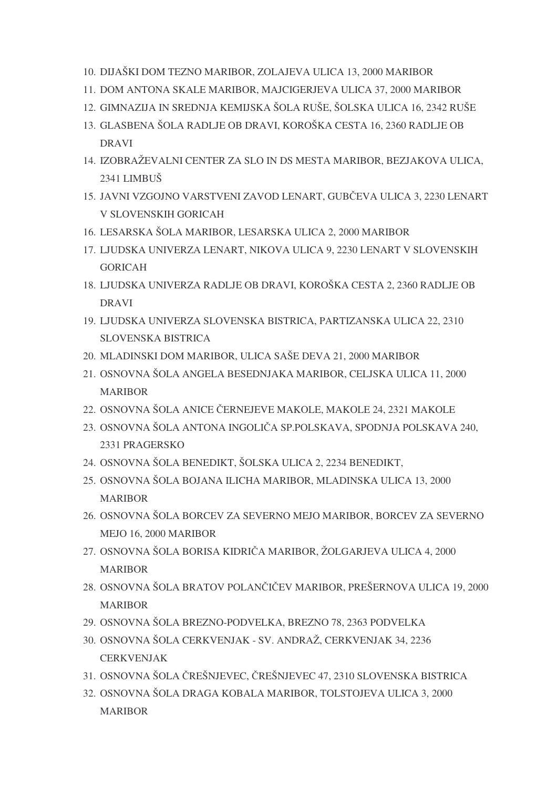- 10. DIJAŠKI DOM TEZNO MARIBOR, ZOLAJEVA ULICA 13, 2000 MARIBOR
- 11. DOM ANTONA SKALE MARIBOR, MAJCIGERJEVA ULICA 37, 2000 MARIBOR
- 12. GIMNAZIJA IN SREDNJA KEMIJSKA ŠOLA RUŠE, ŠOLSKA ULICA 16, 2342 RUŠE
- 13. GLASBENA ŠOLA RADLJE OB DRAVI, KOROŠKA CESTA 16, 2360 RADLJE OB DRAVI
- 14. IZOBRAŽEVALNI CENTER ZA SLO IN DS MESTA MARIBOR, BEZJAKOVA ULICA, 2341 LIMBUŠ
- 15. JAVNI VZGOJNO VARSTVENI ZAVOD LENART, GUBČEVA ULICA 3, 2230 LENART V SLOVENSKIH GORICAH
- 16. LESARSKA ŠOLA MARIBOR, LESARSKA ULICA 2, 2000 MARIBOR
- 17. LJUDSKA UNIVERZA LENART, NIKOVA ULICA 9, 2230 LENART V SLOVENSKIH GORICAH
- 18. LJUDSKA UNIVERZA RADLJE OB DRAVI, KOROŠKA CESTA 2, 2360 RADLJE OB DRAVI
- 19. LJUDSKA UNIVERZA SLOVENSKA BISTRICA, PARTIZANSKA ULICA 22, 2310 SLOVENSKA BISTRICA
- 20. MLADINSKI DOM MARIBOR, ULICA SAŠE DEVA 21, 2000 MARIBOR
- 21. OSNOVNA ŠOLA ANGELA BESEDNJAKA MARIBOR, CELJSKA ULICA 11, 2000 MARIBOR
- 22. OSNOVNA ŠOLA ANICE ČERNEJEVE MAKOLE, MAKOLE 24, 2321 MAKOLE
- 23. OSNOVNA ŠOLA ANTONA INGOLIČA SP.POLSKAVA, SPODNJA POLSKAVA 240, 2331 PRAGERSKO
- 24. OSNOVNA ŠOLA BENEDIKT, ŠOLSKA ULICA 2, 2234 BENEDIKT,
- 25. OSNOVNA ŠOLA BOJANA ILICHA MARIBOR, MLADINSKA ULICA 13, 2000 MARIBOR
- 26. OSNOVNA ŠOLA BORCEV ZA SEVERNO MEJO MARIBOR, BORCEV ZA SEVERNO MEJO 16, 2000 MARIBOR
- 27. OSNOVNA ŠOLA BORISA KIDRIČA MARIBOR, ŽOLGARJEVA ULICA 4, 2000 **MARIBOR**
- 28. OSNOVNA ŠOLA BRATOV POLANČIČEV MARIBOR, PREŠERNOVA ULICA 19, 2000 MARIBOR
- 29. OSNOVNA ŠOLA BREZNO-PODVELKA, BREZNO 78, 2363 PODVELKA
- 30. OSNOVNA ŠOLA CERKVENJAK SV. ANDRAŽ, CERKVENJAK 34, 2236 CERKVENJAK
- 31. OSNOVNA ŠOLA ČREŠNJEVEC, ČREŠNJEVEC 47, 2310 SLOVENSKA BISTRICA
- 32. OSNOVNA ŠOLA DRAGA KOBALA MARIBOR, TOLSTOJEVA ULICA 3, 2000 MARIBOR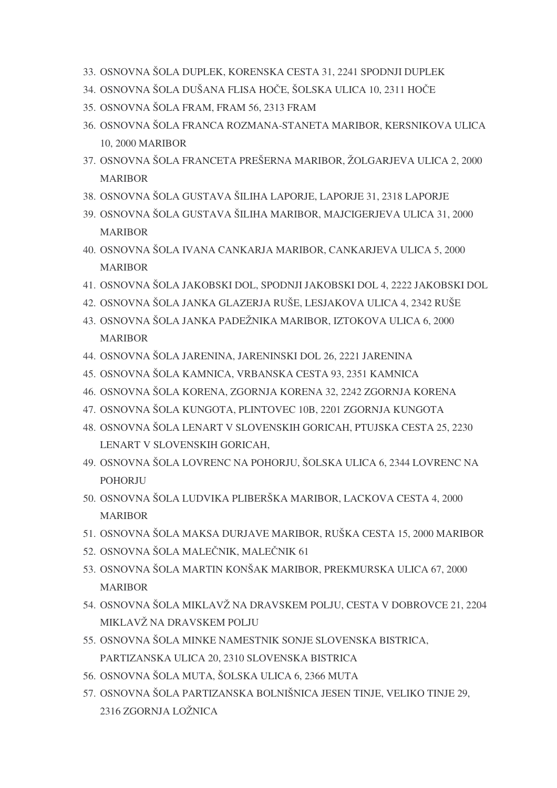- 33. OSNOVNA ŠOLA DUPLEK, KORENSKA CESTA 31, 2241 SPODNJI DUPLEK
- 34. OSNOVNA ŠOLA DUŠANA FLISA HOČE, ŠOLSKA ULICA 10, 2311 HOČE
- 35. OSNOVNA ŠOLA FRAM, FRAM 56, 2313 FRAM
- 36. OSNOVNA ŠOLA FRANCA ROZMANA-STANETA MARIBOR, KERSNIKOVA ULICA 10, 2000 MARIBOR
- 37. OSNOVNA ŠOLA FRANCETA PREŠERNA MARIBOR, ŽOLGARJEVA ULICA 2, 2000 MARIBOR
- 38. OSNOVNA ŠOLA GUSTAVA ŠILIHA LAPORJE, LAPORJE 31, 2318 LAPORJE
- 39. OSNOVNA ŠOLA GUSTAVA ŠILIHA MARIBOR, MAJCIGERJEVA ULICA 31, 2000 MARIBOR
- 40. OSNOVNA ŠOLA IVANA CANKARJA MARIBOR, CANKARJEVA ULICA 5, 2000 MARIBOR
- 41. OSNOVNA ŠOLA JAKOBSKI DOL, SPODNJI JAKOBSKI DOL 4, 2222 JAKOBSKI DOL
- 42. OSNOVNA ŠOLA JANKA GLAZERJA RUŠE, LESJAKOVA ULICA 4, 2342 RUŠE
- 43. OSNOVNA ŠOLA JANKA PADEŽNIKA MARIBOR, IZTOKOVA ULICA 6, 2000 **MARIBOR**
- 44. OSNOVNA ŠOLA JARENINA, JARENINSKI DOL 26, 2221 JARENINA
- 45. OSNOVNA ŠOLA KAMNICA, VRBANSKA CESTA 93, 2351 KAMNICA
- 46. OSNOVNA ŠOLA KORENA, ZGORNJA KORENA 32, 2242 ZGORNJA KORENA
- 47. OSNOVNA ŠOLA KUNGOTA, PLINTOVEC 10B, 2201 ZGORNJA KUNGOTA
- 48. OSNOVNA ŠOLA LENART V SLOVENSKIH GORICAH, PTUJSKA CESTA 25, 2230 LENART V SLOVENSKIH GORICAH,
- 49. OSNOVNA ŠOLA LOVRENC NA POHORJU, ŠOLSKA ULICA 6, 2344 LOVRENC NA POHORJU
- 50. OSNOVNA ŠOLA LUDVIKA PLIBERŠKA MARIBOR, LACKOVA CESTA 4, 2000 **MARIBOR**
- 51. OSNOVNA ŠOLA MAKSA DURJAVE MARIBOR, RUŠKA CESTA 15, 2000 MARIBOR
- 52. OSNOVNA ŠOLA MALEČNIK, MALEČNIK 61
- 53. OSNOVNA ŠOLA MARTIN KONŠAK MARIBOR, PREKMURSKA ULICA 67, 2000 MARIBOR
- 54. OSNOVNA ŠOLA MIKLAVŽ NA DRAVSKEM POLJU, CESTA V DOBROVCE 21, 2204 MIKLAVŽ NA DRAVSKEM POLJU
- 55. OSNOVNA ŠOLA MINKE NAMESTNIK SONJE SLOVENSKA BISTRICA, PARTIZANSKA ULICA 20, 2310 SLOVENSKA BISTRICA
- 56. OSNOVNA ŠOLA MUTA, ŠOLSKA ULICA 6, 2366 MUTA
- 57. OSNOVNA ŠOLA PARTIZANSKA BOLNIŠNICA JESEN TINJE, VELIKO TINJE 29, 2316 ZGORNJA LOŽNICA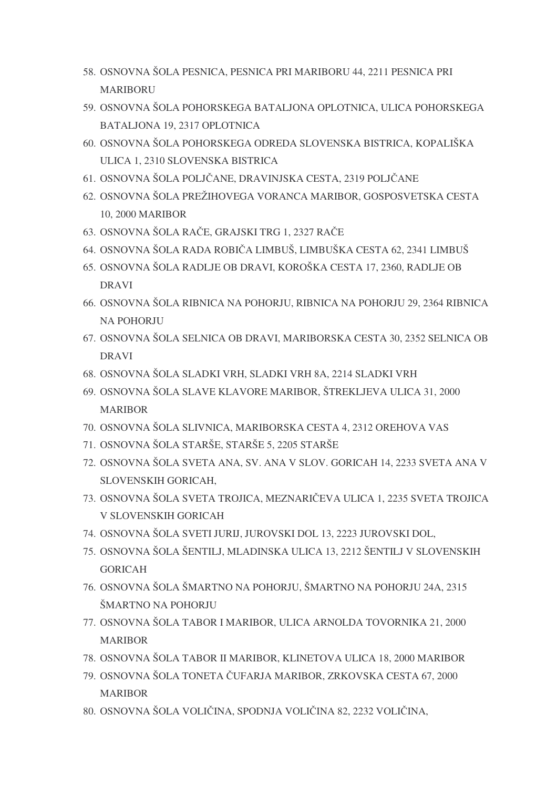- 58. OSNOVNA ŠOLA PESNICA, PESNICA PRI MARIBORU 44, 2211 PESNICA PRI MARIBORU
- 59. OSNOVNA ŠOLA POHORSKEGA BATALJONA OPLOTNICA, ULICA POHORSKEGA BATALJONA 19, 2317 OPLOTNICA
- 60. OSNOVNA ŠOLA POHORSKEGA ODREDA SLOVENSKA BISTRICA, KOPALIŠKA ULICA 1, 2310 SLOVENSKA BISTRICA
- 61. OSNOVNA ŠOLA POLJČANE, DRAVINJSKA CESTA, 2319 POLJČANE
- 62. OSNOVNA ŠOLA PREŽIHOVEGA VORANCA MARIBOR, GOSPOSVETSKA CESTA 10, 2000 MARIBOR
- 63. OSNOVNA ŠOLA RAČE, GRAJSKI TRG 1, 2327 RAČE
- 64. OSNOVNA ŠOLA RADA ROBIČA LIMBUŠ, LIMBUŠKA CESTA 62, 2341 LIMBUŠ
- 65. OSNOVNA ŠOLA RADLJE OB DRAVI, KOROŠKA CESTA 17, 2360, RADLJE OB DRAVI
- 66. OSNOVNA ŠOLA RIBNICA NA POHORJU, RIBNICA NA POHORJU 29, 2364 RIBNICA NA POHORJU
- 67. OSNOVNA ŠOLA SELNICA OB DRAVI, MARIBORSKA CESTA 30, 2352 SELNICA OB DRAVI
- 68. OSNOVNA ŠOLA SLADKI VRH, SLADKI VRH 8A, 2214 SLADKI VRH
- 69. OSNOVNA ŠOLA SLAVE KLAVORE MARIBOR, ŠTREKLJEVA ULICA 31, 2000 MARIBOR
- 70. OSNOVNA ŠOLA SLIVNICA, MARIBORSKA CESTA 4, 2312 OREHOVA VAS
- 71. OSNOVNA ŠOLA STARŠE, STARŠE 5, 2205 STARŠE
- 72. OSNOVNA ŠOLA SVETA ANA, SV. ANA V SLOV. GORICAH 14, 2233 SVETA ANA V SLOVENSKIH GORICAH,
- 73. OSNOVNA ŠOLA SVETA TROJICA, MEZNARIČEVA ULICA 1, 2235 SVETA TROJICA V SLOVENSKIH GORICAH
- 74. OSNOVNA ŠOLA SVETI JURIJ, JUROVSKI DOL 13, 2223 JUROVSKI DOL,
- 75. OSNOVNA ŠOLA ŠENTILJ, MLADINSKA ULICA 13, 2212 ŠENTILJ V SLOVENSKIH GORICAH
- 76. OSNOVNA ŠOLA ŠMARTNO NA POHORJU, ŠMARTNO NA POHORJU 24A, 2315 ŠMARTNO NA POHORJU
- 77. OSNOVNA ŠOLA TABOR I MARIBOR, ULICA ARNOLDA TOVORNIKA 21, 2000 MARIBOR
- 78. OSNOVNA ŠOLA TABOR II MARIBOR, KLINETOVA ULICA 18, 2000 MARIBOR
- 79. OSNOVNA ŠOLA TONETA ČUFARJA MARIBOR, ZRKOVSKA CESTA 67, 2000 MARIBOR
- 80. OSNOVNA ŠOLA VOLIČINA, SPODNJA VOLIČINA 82, 2232 VOLIČINA,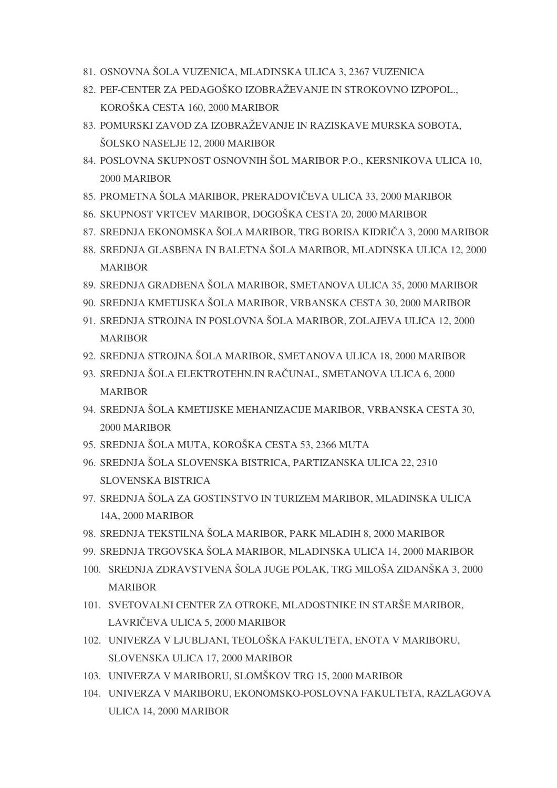- 81. OSNOVNA ŠOLA VUZENICA, MLADINSKA ULICA 3, 2367 VUZENICA
- 82. PEF-CENTER ZA PEDAGOŠKO IZOBRAŽEVANJE IN STROKOVNO IZPOPOL., KOROŠKA CESTA 160, 2000 MARIBOR
- 83. POMURSKI ZAVOD ZA IZOBRAŽEVANJE IN RAZISKAVE MURSKA SOBOTA, ŠOLSKO NASELJE 12, 2000 MARIBOR
- 84. POSLOVNA SKUPNOST OSNOVNIH ŠOL MARIBOR P.O., KERSNIKOVA ULICA 10, 2000 MARIBOR
- 85. PROMETNA ŠOLA MARIBOR, PRERADOVIČEVA ULICA 33, 2000 MARIBOR
- 86. SKUPNOST VRTCEV MARIBOR, DOGOŠKA CESTA 20, 2000 MARIBOR
- 87. SREDNJA EKONOMSKA ŠOLA MARIBOR, TRG BORISA KIDRIČA 3, 2000 MARIBOR
- 88. SREDNJA GLASBENA IN BALETNA ŠOLA MARIBOR, MLADINSKA ULICA 12, 2000 MARIBOR
- 89. SREDNJA GRADBENA ŠOLA MARIBOR, SMETANOVA ULICA 35, 2000 MARIBOR
- 90. SREDNJA KMETIJSKA ŠOLA MARIBOR, VRBANSKA CESTA 30, 2000 MARIBOR
- 91. SREDNJA STROJNA IN POSLOVNA ŠOLA MARIBOR, ZOLAJEVA ULICA 12, 2000 MARIBOR
- 92. SREDNJA STROJNA ŠOLA MARIBOR, SMETANOVA ULICA 18, 2000 MARIBOR
- 93. SREDNJA ŠOLA ELEKTROTEHN.IN RAČUNAL, SMETANOVA ULICA 6, 2000 MARIBOR
- 94. SREDNJA ŠOLA KMETIJSKE MEHANIZACIJE MARIBOR, VRBANSKA CESTA 30, 2000 MARIBOR
- 95. SREDNJA ŠOLA MUTA, KOROŠKA CESTA 53, 2366 MUTA
- 96. SREDNJA ŠOLA SLOVENSKA BISTRICA, PARTIZANSKA ULICA 22, 2310 SLOVENSKA BISTRICA
- 97. SREDNJA ŠOLA ZA GOSTINSTVO IN TURIZEM MARIBOR, MLADINSKA ULICA 14A, 2000 MARIBOR
- 98. SREDNJA TEKSTILNA ŠOLA MARIBOR, PARK MLADIH 8, 2000 MARIBOR
- 99. SREDNJA TRGOVSKA ŠOLA MARIBOR, MLADINSKA ULICA 14, 2000 MARIBOR
- 100. SREDNJA ZDRAVSTVENA ŠOLA JUGE POLAK, TRG MILOŠA ZIDANŠKA 3, 2000 MARIBOR
- 101. SVETOVALNI CENTER ZA OTROKE, MLADOSTNIKE IN STARŠE MARIBOR, LAVRIČEVA ULICA 5, 2000 MARIBOR
- 102. UNIVERZA V LJUBLJANI, TEOLOŠKA FAKULTETA, ENOTA V MARIBORU, SLOVENSKA ULICA 17, 2000 MARIBOR
- 103. UNIVERZA V MARIBORU, SLOMŠKOV TRG 15, 2000 MARIBOR
- 104. UNIVERZA V MARIBORU, EKONOMSKO-POSLOVNA FAKULTETA, RAZLAGOVA ULICA 14, 2000 MARIBOR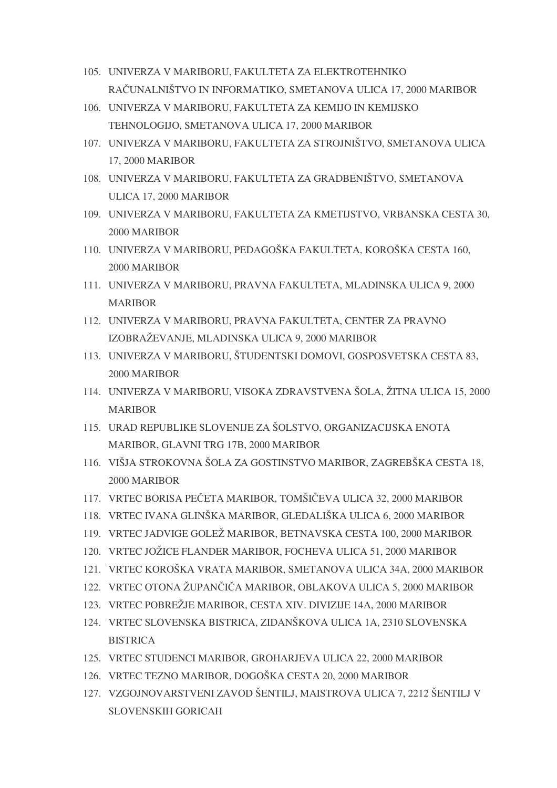- 105. UNIVERZA V MARIBORU, FAKULTETA ZA ELEKTROTEHNIKO RAČUNALNIŠTVO IN INFORMATIKO, SMETANOVA ULICA 17, 2000 MARIBOR
- 106. UNIVERZA V MARIBORU, FAKULTETA ZA KEMIJO IN KEMIJSKO TEHNOLOGIJO, SMETANOVA ULICA 17, 2000 MARIBOR
- 107. UNIVERZA V MARIBORU, FAKULTETA ZA STROJNIŠTVO, SMETANOVA ULICA 17, 2000 MARIBOR
- 108. UNIVERZA V MARIBORU, FAKULTETA ZA GRADBENIŠTVO, SMETANOVA ULICA 17, 2000 MARIBOR
- 109. UNIVERZA V MARIBORU, FAKULTETA ZA KMETIJSTVO, VRBANSKA CESTA 30, 2000 MARIBOR
- 110. UNIVERZA V MARIBORU, PEDAGOŠKA FAKULTETA, KOROŠKA CESTA 160, 2000 MARIBOR
- 111. UNIVERZA V MARIBORU, PRAVNA FAKULTETA, MLADINSKA ULICA 9, 2000 MARIBOR
- 112. UNIVERZA V MARIBORU, PRAVNA FAKULTETA, CENTER ZA PRAVNO IZOBRAŽEVANJE, MLADINSKA ULICA 9, 2000 MARIBOR
- 113. UNIVERZA V MARIBORU, ŠTUDENTSKI DOMOVI, GOSPOSVETSKA CESTA 83, 2000 MARIBOR
- 114. UNIVERZA V MARIBORU, VISOKA ZDRAVSTVENA ŠOLA, ŽITNA ULICA 15, 2000 MARIBOR
- 115. URAD REPUBLIKE SLOVENIJE ZA ŠOLSTVO, ORGANIZACIJSKA ENOTA MARIBOR, GLAVNI TRG 17B, 2000 MARIBOR
- 116. VIŠJA STROKOVNA ŠOLA ZA GOSTINSTVO MARIBOR, ZAGREBŠKA CESTA 18, 2000 MARIBOR
- 117. VRTEC BORISA PEČETA MARIBOR, TOMŠIČEVA ULICA 32, 2000 MARIBOR
- 118. VRTEC IVANA GLINŠKA MARIBOR, GLEDALIŠKA ULICA 6, 2000 MARIBOR
- 119. VRTEC JADVIGE GOLEŽ MARIBOR, BETNAVSKA CESTA 100, 2000 MARIBOR
- 120. VRTEC JOŽICE FLANDER MARIBOR, FOCHEVA ULICA 51, 2000 MARIBOR
- 121. VRTEC KOROŠKA VRATA MARIBOR, SMETANOVA ULICA 34A, 2000 MARIBOR
- 122. VRTEC OTONA ŽUPANČIČA MARIBOR, OBLAKOVA ULICA 5, 2000 MARIBOR
- 123. VRTEC POBREŽJE MARIBOR, CESTA XIV. DIVIZIJE 14A, 2000 MARIBOR
- 124. VRTEC SLOVENSKA BISTRICA, ZIDANŠKOVA ULICA 1A, 2310 SLOVENSKA **BISTRICA**
- 125. VRTEC STUDENCI MARIBOR, GROHARJEVA ULICA 22, 2000 MARIBOR
- 126. VRTEC TEZNO MARIBOR, DOGOŠKA CESTA 20, 2000 MARIBOR
- 127. VZGOJNOVARSTVENI ZAVOD ŠENTILJ, MAISTROVA ULICA 7, 2212 ŠENTILJ V SLOVENSKIH GORICAH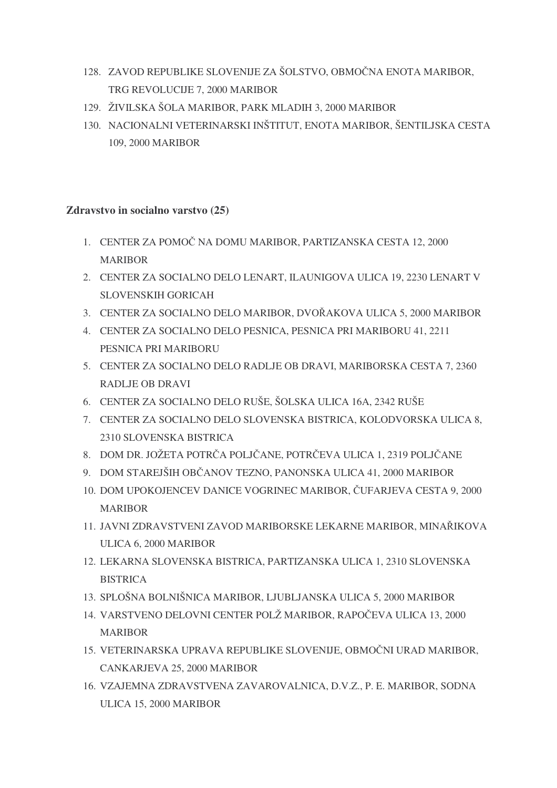- 128. ZAVOD REPUBLIKE SLOVENIJE ZA ŠOLSTVO, OBMOČNA ENOTA MARIBOR, TRG REVOLUCIJE 7, 2000 MARIBOR
- 129. ŽIVILSKA ŠOLA MARIBOR, PARK MLADIH 3, 2000 MARIBOR
- 130. NACIONALNI VETERINARSKI INŠTITUT, ENOTA MARIBOR, ŠENTILJSKA CESTA 109, 2000 MARIBOR

#### **Zdravstvo in socialno varstvo (25)**

- 1. CENTER ZA POMOČ NA DOMU MARIBOR, PARTIZANSKA CESTA 12, 2000 MARIBOR
- 2. CENTER ZA SOCIALNO DELO LENART, ILAUNIGOVA ULICA 19, 2230 LENART V SLOVENSKIH GORICAH
- 3. CENTER ZA SOCIALNO DELO MARIBOR, DVOAKOVA ULICA 5, 2000 MARIBOR
- 4. CENTER ZA SOCIALNO DELO PESNICA, PESNICA PRI MARIBORU 41, 2211 PESNICA PRI MARIBORU
- 5. CENTER ZA SOCIALNO DELO RADLJE OB DRAVI, MARIBORSKA CESTA 7, 2360 RADLJE OB DRAVI
- 6. CENTER ZA SOCIALNO DELO RUŠE, ŠOLSKA ULICA 16A, 2342 RUŠE
- 7. CENTER ZA SOCIALNO DELO SLOVENSKA BISTRICA, KOLODVORSKA ULICA 8, 2310 SLOVENSKA BISTRICA
- 8. DOM DR. JOŽETA POTRČA POLJČANE, POTRČEVA ULICA 1, 2319 POLJČANE
- 9. DOM STAREJŠIH OBČANOV TEZNO, PANONSKA ULICA 41, 2000 MARIBOR
- 10. DOM UPOKOJENCEV DANICE VOGRINEC MARIBOR, ČUFARJEVA CESTA 9, 2000 **MARIBOR**
- 11. JAVNI ZDRAVSTVENI ZAVOD MARIBORSKE LEKARNE MARIBOR, MINAIKOVA ULICA 6, 2000 MARIBOR
- 12. LEKARNA SLOVENSKA BISTRICA, PARTIZANSKA ULICA 1, 2310 SLOVENSKA **BISTRICA**
- 13. SPLOŠNA BOLNIŠNICA MARIBOR, LJUBLJANSKA ULICA 5, 2000 MARIBOR
- 14. VARSTVENO DELOVNI CENTER POLŽ MARIBOR, RAPOČEVA ULICA 13, 2000 MARIBOR
- 15. VETERINARSKA UPRAVA REPUBLIKE SLOVENIJE, OBMOČNI URAD MARIBOR, CANKARJEVA 25, 2000 MARIBOR
- 16. VZAJEMNA ZDRAVSTVENA ZAVAROVALNICA, D.V.Z., P. E. MARIBOR, SODNA ULICA 15, 2000 MARIBOR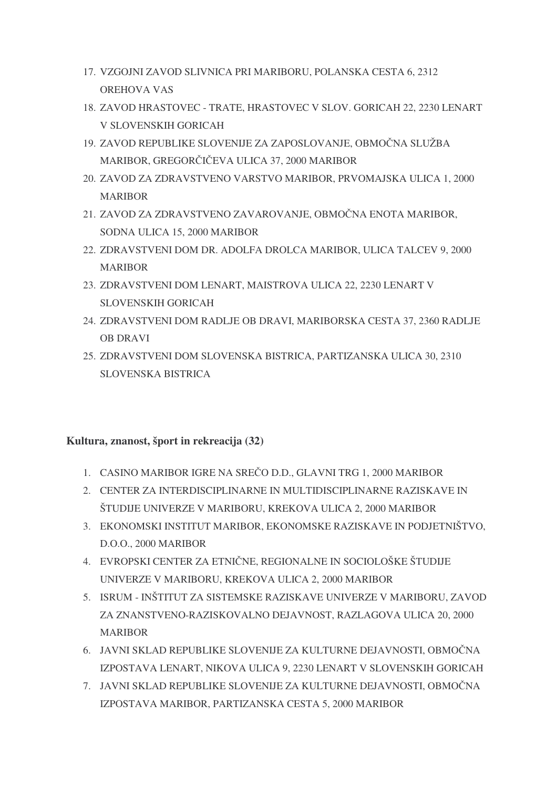- 17. VZGOJNI ZAVOD SLIVNICA PRI MARIBORU, POLANSKA CESTA 6, 2312 OREHOVA VAS
- 18. ZAVOD HRASTOVEC TRATE, HRASTOVEC V SLOV. GORICAH 22, 2230 LENART V SLOVENSKIH GORICAH
- 19. ZAVOD REPUBLIKE SLOVENIJE ZA ZAPOSLOVANJE, OBMOČNA SLUŽBA MARIBOR, GREGORČIČEVA ULICA 37, 2000 MARIBOR
- 20. ZAVOD ZA ZDRAVSTVENO VARSTVO MARIBOR, PRVOMAJSKA ULICA 1, 2000 MARIBOR
- 21. ZAVOD ZA ZDRAVSTVENO ZAVAROVANJE, OBMOČNA ENOTA MARIBOR, SODNA ULICA 15, 2000 MARIBOR
- 22. ZDRAVSTVENI DOM DR. ADOLFA DROLCA MARIBOR, ULICA TALCEV 9, 2000 MARIBOR
- 23. ZDRAVSTVENI DOM LENART, MAISTROVA ULICA 22, 2230 LENART V SLOVENSKIH GORICAH
- 24. ZDRAVSTVENI DOM RADLJE OB DRAVI, MARIBORSKA CESTA 37, 2360 RADLJE OB DRAVI
- 25. ZDRAVSTVENI DOM SLOVENSKA BISTRICA, PARTIZANSKA ULICA 30, 2310 SLOVENSKA BISTRICA

#### **Kultura, znanost, šport in rekreacija (32)**

- 1. CASINO MARIBOR IGRE NA SREČO D.D., GLAVNI TRG 1, 2000 MARIBOR
- 2. CENTER ZA INTERDISCIPLINARNE IN MULTIDISCIPLINARNE RAZISKAVE IN ŠTUDIJE UNIVERZE V MARIBORU, KREKOVA ULICA 2, 2000 MARIBOR
- 3. EKONOMSKI INSTITUT MARIBOR, EKONOMSKE RAZISKAVE IN PODJETNIŠTVO, D.O.O., 2000 MARIBOR
- 4. EVROPSKI CENTER ZA ETNIČNE, REGIONALNE IN SOCIOLOŠKE ŠTUDIJE UNIVERZE V MARIBORU, KREKOVA ULICA 2, 2000 MARIBOR
- 5. ISRUM INŠTITUT ZA SISTEMSKE RAZISKAVE UNIVERZE V MARIBORU, ZAVOD ZA ZNANSTVENO-RAZISKOVALNO DEJAVNOST, RAZLAGOVA ULICA 20, 2000 MARIBOR
- 6. JAVNI SKLAD REPUBLIKE SLOVENIJE ZA KULTURNE DEJAVNOSTI, OBMOČNA IZPOSTAVA LENART, NIKOVA ULICA 9, 2230 LENART V SLOVENSKIH GORICAH
- 7. JAVNI SKLAD REPUBLIKE SLOVENIJE ZA KULTURNE DEJAVNOSTI, OBMOČNA IZPOSTAVA MARIBOR, PARTIZANSKA CESTA 5, 2000 MARIBOR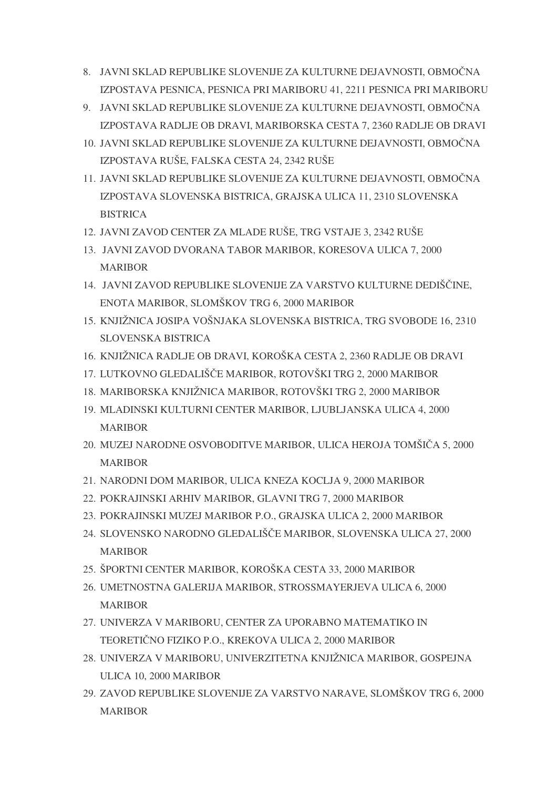- 8. JAVNI SKLAD REPUBLIKE SLOVENIJE ZA KULTURNE DEJAVNOSTI, OBMOČNA IZPOSTAVA PESNICA, PESNICA PRI MARIBORU 41, 2211 PESNICA PRI MARIBORU
- 9. JAVNI SKLAD REPUBLIKE SLOVENIJE ZA KULTURNE DEJAVNOSTI, OBMOČNA IZPOSTAVA RADLJE OB DRAVI, MARIBORSKA CESTA 7, 2360 RADLJE OB DRAVI
- 10. JAVNI SKLAD REPUBLIKE SLOVENIJE ZA KULTURNE DEJAVNOSTI, OBMOČNA IZPOSTAVA RUŠE, FALSKA CESTA 24, 2342 RUŠE
- 11. JAVNI SKLAD REPUBLIKE SLOVENIJE ZA KULTURNE DEJAVNOSTI, OBMOČNA IZPOSTAVA SLOVENSKA BISTRICA, GRAJSKA ULICA 11, 2310 SLOVENSKA **BISTRICA**
- 12. JAVNI ZAVOD CENTER ZA MLADE RUŠE, TRG VSTAJE 3, 2342 RUŠE
- 13. JAVNI ZAVOD DVORANA TABOR MARIBOR, KORESOVA ULICA 7, 2000 MARIBOR
- 14. JAVNI ZAVOD REPUBLIKE SLOVENIJE ZA VARSTVO KULTURNE DEDIŠČINE, ENOTA MARIBOR, SLOMŠKOV TRG 6, 2000 MARIBOR
- 15. KNJIŽNICA JOSIPA VOŠNJAKA SLOVENSKA BISTRICA, TRG SVOBODE 16, 2310 SLOVENSKA BISTRICA
- 16. KNJIŽNICA RADLJE OB DRAVI, KOROŠKA CESTA 2, 2360 RADLJE OB DRAVI
- 17. LUTKOVNO GLEDALIŠČE MARIBOR, ROTOVŠKI TRG 2, 2000 MARIBOR
- 18. MARIBORSKA KNJIŽNICA MARIBOR, ROTOVŠKI TRG 2, 2000 MARIBOR
- 19. MLADINSKI KULTURNI CENTER MARIBOR, LJUBLJANSKA ULICA 4, 2000 MARIBOR
- 20. MUZEJ NARODNE OSVOBODITVE MARIBOR, ULICA HEROJA TOMŠIČA 5, 2000 MARIBOR
- 21. NARODNI DOM MARIBOR, ULICA KNEZA KOCLJA 9, 2000 MARIBOR
- 22. POKRAJINSKI ARHIV MARIBOR, GLAVNI TRG 7, 2000 MARIBOR
- 23. POKRAJINSKI MUZEJ MARIBOR P.O., GRAJSKA ULICA 2, 2000 MARIBOR
- 24. SLOVENSKO NARODNO GLEDALIŠČE MARIBOR, SLOVENSKA ULICA 27, 2000 MARIBOR
- 25. ŠPORTNI CENTER MARIBOR, KOROŠKA CESTA 33, 2000 MARIBOR
- 26. UMETNOSTNA GALERIJA MARIBOR, STROSSMAYERJEVA ULICA 6, 2000 MARIBOR
- 27. UNIVERZA V MARIBORU, CENTER ZA UPORABNO MATEMATIKO IN TEORETIČNO FIZIKO P.O., KREKOVA ULICA 2, 2000 MARIBOR
- 28. UNIVERZA V MARIBORU, UNIVERZITETNA KNJIŽNICA MARIBOR, GOSPEJNA ULICA 10, 2000 MARIBOR
- 29. ZAVOD REPUBLIKE SLOVENIJE ZA VARSTVO NARAVE, SLOMŠKOV TRG 6, 2000 MARIBOR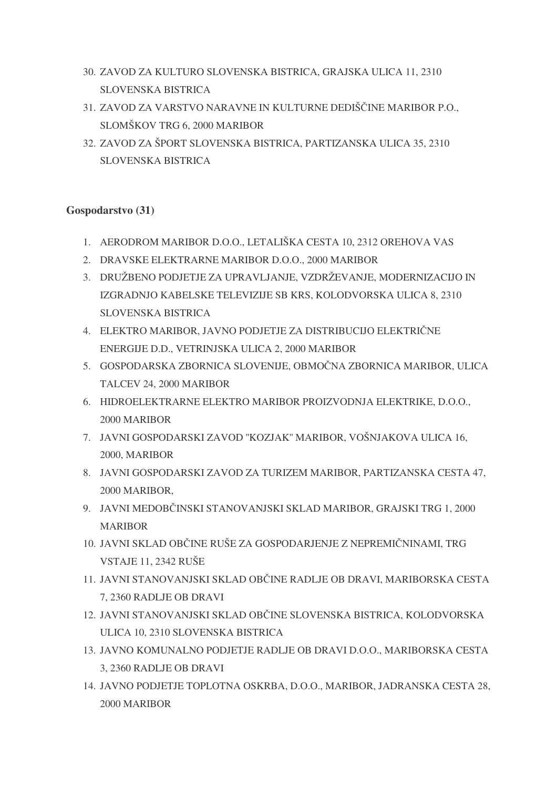- 30. ZAVOD ZA KULTURO SLOVENSKA BISTRICA, GRAJSKA ULICA 11, 2310 SLOVENSKA BISTRICA
- 31. ZAVOD ZA VARSTVO NARAVNE IN KULTURNE DEDIŠČINE MARIBOR P.O., SLOMŠKOV TRG 6, 2000 MARIBOR
- 32. ZAVOD ZA ŠPORT SLOVENSKA BISTRICA, PARTIZANSKA ULICA 35, 2310 SLOVENSKA BISTRICA

#### **Gospodarstvo (31)**

- 1. AERODROM MARIBOR D.O.O., LETALIŠKA CESTA 10, 2312 OREHOVA VAS
- 2. DRAVSKE ELEKTRARNE MARIBOR D.O.O., 2000 MARIBOR
- 3. DRUŽBENO PODJETJE ZA UPRAVLJANJE, VZDRŽEVANJE, MODERNIZACIJO IN IZGRADNJO KABELSKE TELEVIZIJE SB KRS, KOLODVORSKA ULICA 8, 2310 SLOVENSKA BISTRICA
- 4. ELEKTRO MARIBOR, JAVNO PODJETJE ZA DISTRIBUCIJO ELEKTRIČNE ENERGIJE D.D., VETRINJSKA ULICA 2, 2000 MARIBOR
- 5. GOSPODARSKA ZBORNICA SLOVENIJE, OBMOČNA ZBORNICA MARIBOR, ULICA TALCEV 24, 2000 MARIBOR
- 6. HIDROELEKTRARNE ELEKTRO MARIBOR PROIZVODNJA ELEKTRIKE, D.O.O., 2000 MARIBOR
- 7. JAVNI GOSPODARSKI ZAVOD ''KOZJAK'' MARIBOR, VOŠNJAKOVA ULICA 16, 2000, MARIBOR
- 8. JAVNI GOSPODARSKI ZAVOD ZA TURIZEM MARIBOR, PARTIZANSKA CESTA 47, 2000 MARIBOR,
- 9. JAVNI MEDOBČINSKI STANOVANJSKI SKLAD MARIBOR, GRAJSKI TRG 1, 2000 MARIBOR
- 10. JAVNI SKLAD OBČINE RUŠE ZA GOSPODARJENJE Z NEPREMIČNINAMI, TRG VSTAJE 11, 2342 RUŠE
- 11. JAVNI STANOVANJSKI SKLAD OBČINE RADLJE OB DRAVI, MARIBORSKA CESTA 7, 2360 RADLJE OB DRAVI
- 12. JAVNI STANOVANJSKI SKLAD OBČINE SLOVENSKA BISTRICA, KOLODVORSKA ULICA 10, 2310 SLOVENSKA BISTRICA
- 13. JAVNO KOMUNALNO PODJETJE RADLJE OB DRAVI D.O.O., MARIBORSKA CESTA 3, 2360 RADLJE OB DRAVI
- 14. JAVNO PODJETJE TOPLOTNA OSKRBA, D.O.O., MARIBOR, JADRANSKA CESTA 28, 2000 MARIBOR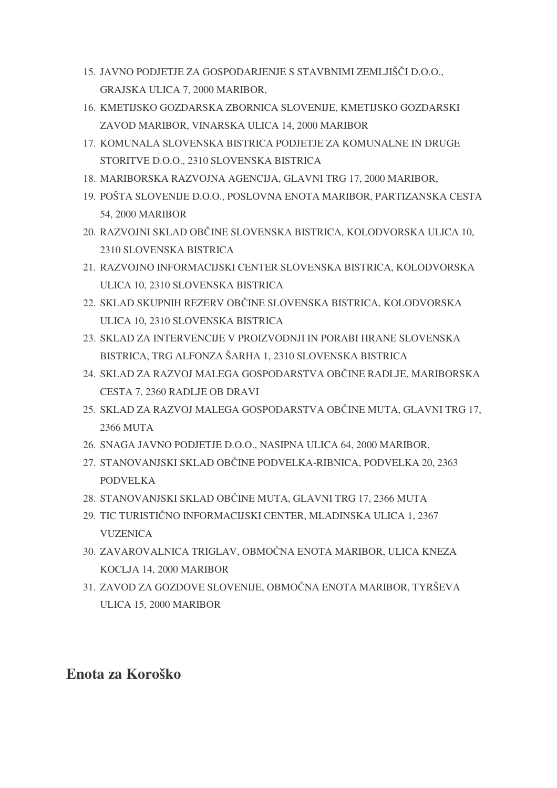- 15. JAVNO PODJETJE ZA GOSPODARJENJE S STAVBNIMI ZEMLJIŠČI D.O.O., GRAJSKA ULICA 7, 2000 MARIBOR,
- 16. KMETIJSKO GOZDARSKA ZBORNICA SLOVENIJE, KMETIJSKO GOZDARSKI ZAVOD MARIBOR, VINARSKA ULICA 14, 2000 MARIBOR
- 17. KOMUNALA SLOVENSKA BISTRICA PODJETJE ZA KOMUNALNE IN DRUGE STORITVE D.O.O., 2310 SLOVENSKA BISTRICA
- 18. MARIBORSKA RAZVOJNA AGENCIJA, GLAVNI TRG 17, 2000 MARIBOR,
- 19. POŠTA SLOVENIJE D.O.O., POSLOVNA ENOTA MARIBOR, PARTIZANSKA CESTA 54, 2000 MARIBOR
- 20. RAZVOJNI SKLAD OBČINE SLOVENSKA BISTRICA, KOLODVORSKA ULICA 10, 2310 SLOVENSKA BISTRICA
- 21. RAZVOJNO INFORMACIJSKI CENTER SLOVENSKA BISTRICA, KOLODVORSKA ULICA 10, 2310 SLOVENSKA BISTRICA
- 22. SKLAD SKUPNIH REZERV OBČINE SLOVENSKA BISTRICA, KOLODVORSKA ULICA 10, 2310 SLOVENSKA BISTRICA
- 23. SKLAD ZA INTERVENCIJE V PROIZVODNJI IN PORABI HRANE SLOVENSKA BISTRICA, TRG ALFONZA ŠARHA 1, 2310 SLOVENSKA BISTRICA
- 24. SKLAD ZA RAZVOJ MALEGA GOSPODARSTVA OBČINE RADLJE, MARIBORSKA CESTA 7, 2360 RADLJE OB DRAVI
- 25. SKLAD ZA RAZVOJ MALEGA GOSPODARSTVA OBČINE MUTA, GLAVNI TRG 17, 2366 MUTA
- 26. SNAGA JAVNO PODJETJE D.O.O., NASIPNA ULICA 64, 2000 MARIBOR,
- 27. STANOVANJSKI SKLAD OBČINE PODVELKA-RIBNICA, PODVELKA 20, 2363 PODVELKA
- 28. STANOVANJSKI SKLAD OBČINE MUTA, GLAVNI TRG 17, 2366 MUTA
- 29. TIC TURISTIČNO INFORMACIJSKI CENTER, MLADINSKA ULICA 1, 2367 **VUZENICA**
- 30. ZAVAROVALNICA TRIGLAV, OBMOČNA ENOTA MARIBOR, ULICA KNEZA KOCLJA 14, 2000 MARIBOR
- 31. ZAVOD ZA GOZDOVE SLOVENIJE, OBMOČNA ENOTA MARIBOR, TYRŠEVA ULICA 15, 2000 MARIBOR

### **Enota za Koroško**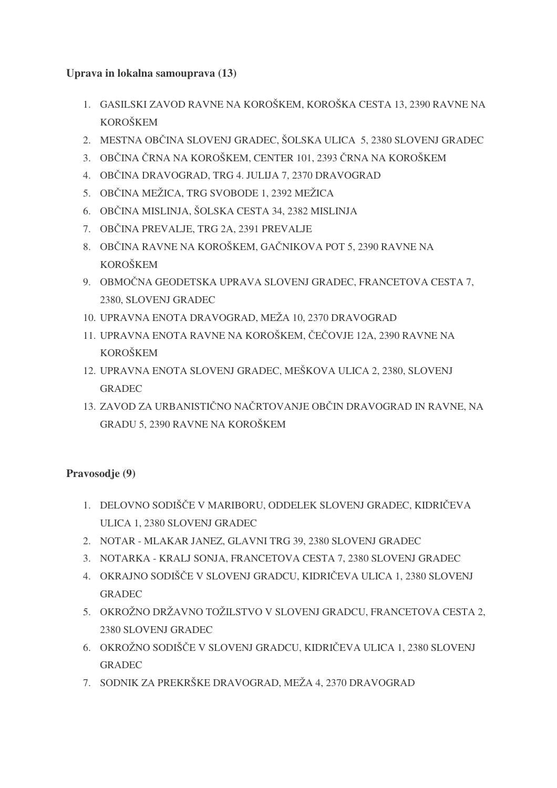#### **Uprava in lokalna samouprava (13)**

- 1. GASILSKI ZAVOD RAVNE NA KOROŠKEM, KOROŠKA CESTA 13, 2390 RAVNE NA KOROŠKEM
- 2. MESTNA OBČINA SLOVENJ GRADEC, ŠOLSKA ULICA 5, 2380 SLOVENJ GRADEC
- 3. OBČINA ČRNA NA KOROŠKEM, CENTER 101, 2393 ČRNA NA KOROŠKEM
- 4. OBČINA DRAVOGRAD, TRG 4. JULIJA 7, 2370 DRAVOGRAD
- 5. OBČINA MEŽICA, TRG SVOBODE 1, 2392 MEŽICA
- 6. OBČINA MISLINJA, ŠOLSKA CESTA 34, 2382 MISLINJA
- 7. OBČINA PREVALJE, TRG 2A, 2391 PREVALJE
- 8. OBČINA RAVNE NA KOROŠKEM, GAČNIKOVA POT 5, 2390 RAVNE NA KOROŠKEM
- 9. OBMOČNA GEODETSKA UPRAVA SLOVENJ GRADEC, FRANCETOVA CESTA 7, 2380, SLOVENJ GRADEC
- 10. UPRAVNA ENOTA DRAVOGRAD, MEŽA 10, 2370 DRAVOGRAD
- 11. UPRAVNA ENOTA RAVNE NA KOROŠKEM, ČEČOVJE 12A, 2390 RAVNE NA KOROŠKEM
- 12. UPRAVNA ENOTA SLOVENJ GRADEC, MEŠKOVA ULICA 2, 2380, SLOVENJ GRADEC
- 13. ZAVOD ZA URBANISTIČNO NAČRTOVANJE OBČIN DRAVOGRAD IN RAVNE, NA GRADU 5, 2390 RAVNE NA KOROŠKEM

#### **Pravosodje (9)**

- 1. DELOVNO SODIŠČE V MARIBORU, ODDELEK SLOVENJ GRADEC, KIDRIČEVA ULICA 1, 2380 SLOVENJ GRADEC
- 2. NOTAR MLAKAR JANEZ, GLAVNI TRG 39, 2380 SLOVENJ GRADEC
- 3. NOTARKA KRALJ SONJA, FRANCETOVA CESTA 7, 2380 SLOVENJ GRADEC
- 4. OKRAJNO SODIŠČE V SLOVENJ GRADCU, KIDRIČEVA ULICA 1, 2380 SLOVENJ GRADEC
- 5. OKROŽNO DRŽAVNO TOŽILSTVO V SLOVENJ GRADCU, FRANCETOVA CESTA 2, 2380 SLOVENJ GRADEC
- 6. OKROŽNO SODIŠČE V SLOVENJ GRADCU, KIDRIČEVA ULICA 1, 2380 SLOVENJ GRADEC
- 7. SODNIK ZA PREKRŠKE DRAVOGRAD, MEŽA 4, 2370 DRAVOGRAD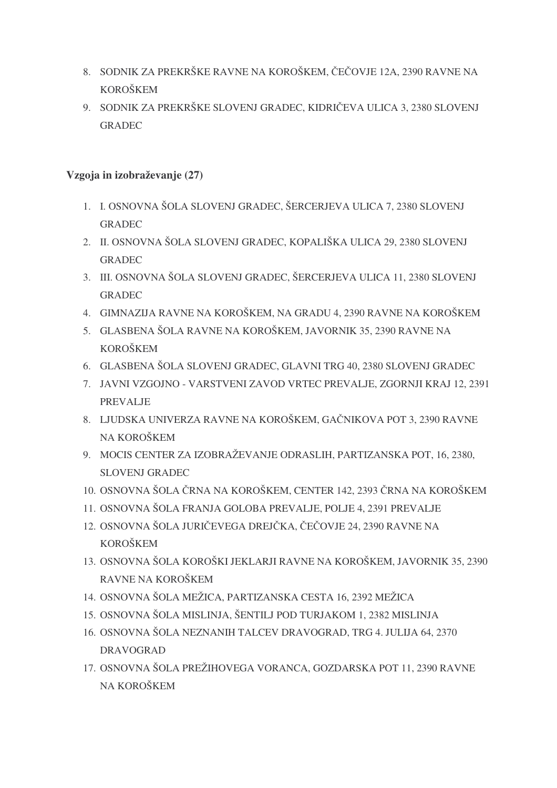- 8. SODNIK ZA PREKRŠKE RAVNE NA KOROŠKEM, ČEČOVJE 12A, 2390 RAVNE NA KOROŠKEM
- 9. SODNIK ZA PREKRŠKE SLOVENJ GRADEC, KIDRIČEVA ULICA 3, 2380 SLOVENJ GRADEC

#### **Vzgoja in izobraževanje (27)**

- 1. I. OSNOVNA ŠOLA SLOVENJ GRADEC, ŠERCERJEVA ULICA 7, 2380 SLOVENJ GRADEC
- 2. II. OSNOVNA ŠOLA SLOVENJ GRADEC, KOPALIŠKA ULICA 29, 2380 SLOVENJ GRADEC
- 3. III. OSNOVNA ŠOLA SLOVENJ GRADEC, ŠERCERJEVA ULICA 11, 2380 SLOVENJ GRADEC
- 4. GIMNAZIJA RAVNE NA KOROŠKEM, NA GRADU 4, 2390 RAVNE NA KOROŠKEM
- 5. GLASBENA ŠOLA RAVNE NA KOROŠKEM, JAVORNIK 35, 2390 RAVNE NA KOROŠKEM
- 6. GLASBENA ŠOLA SLOVENJ GRADEC, GLAVNI TRG 40, 2380 SLOVENJ GRADEC
- 7. JAVNI VZGOJNO VARSTVENI ZAVOD VRTEC PREVALJE, ZGORNJI KRAJ 12, 2391 PREVALJE
- 8. LJUDSKA UNIVERZA RAVNE NA KOROŠKEM, GAČNIKOVA POT 3, 2390 RAVNE NA KOROŠKEM
- 9. MOCIS CENTER ZA IZOBRAŽEVANJE ODRASLIH, PARTIZANSKA POT, 16, 2380, SLOVENJ GRADEC
- 10. OSNOVNA ŠOLA ČRNA NA KOROŠKEM, CENTER 142, 2393 ČRNA NA KOROŠKEM
- 11. OSNOVNA ŠOLA FRANJA GOLOBA PREVALJE, POLJE 4, 2391 PREVALJE
- 12. OSNOVNA ŠOLA JURIČEVEGA DREJČKA, ČEČOVJE 24, 2390 RAVNE NA KOROŠKEM
- 13. OSNOVNA ŠOLA KOROŠKI JEKLARJI RAVNE NA KOROŠKEM, JAVORNIK 35, 2390 RAVNE NA KOROŠKEM
- 14. OSNOVNA ŠOLA MEŽICA, PARTIZANSKA CESTA 16, 2392 MEŽICA
- 15. OSNOVNA ŠOLA MISLINJA, ŠENTILJ POD TURJAKOM 1, 2382 MISLINJA
- 16. OSNOVNA ŠOLA NEZNANIH TALCEV DRAVOGRAD, TRG 4. JULIJA 64, 2370 DRAVOGRAD
- 17. OSNOVNA ŠOLA PREŽIHOVEGA VORANCA, GOZDARSKA POT 11, 2390 RAVNE NA KOROŠKEM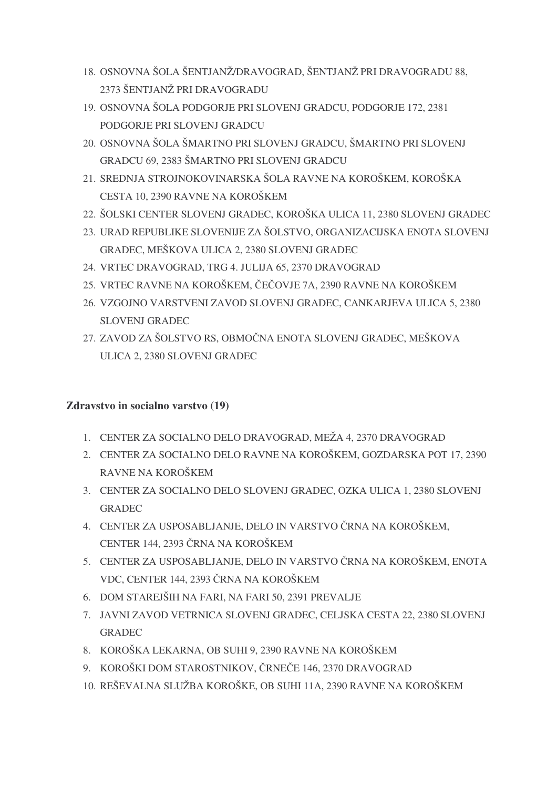- 18. OSNOVNA ŠOLA ŠENTJANŽ/DRAVOGRAD, ŠENTJANŽ PRI DRAVOGRADU 88, 2373 ŠENTJANŽ PRI DRAVOGRADU
- 19. OSNOVNA ŠOLA PODGORJE PRI SLOVENJ GRADCU, PODGORJE 172, 2381 PODGORJE PRI SLOVENJ GRADCU
- 20. OSNOVNA ŠOLA ŠMARTNO PRI SLOVENJ GRADCU, ŠMARTNO PRI SLOVENJ GRADCU 69, 2383 ŠMARTNO PRI SLOVENJ GRADCU
- 21. SREDNJA STROJNOKOVINARSKA ŠOLA RAVNE NA KOROŠKEM, KOROŠKA CESTA 10, 2390 RAVNE NA KOROŠKEM
- 22. ŠOLSKI CENTER SLOVENJ GRADEC, KOROŠKA ULICA 11, 2380 SLOVENJ GRADEC
- 23. URAD REPUBLIKE SLOVENIJE ZA ŠOLSTVO, ORGANIZACIJSKA ENOTA SLOVENJ GRADEC, MEŠKOVA ULICA 2, 2380 SLOVENJ GRADEC
- 24. VRTEC DRAVOGRAD, TRG 4. JULIJA 65, 2370 DRAVOGRAD
- 25. VRTEC RAVNE NA KOROŠKEM, ČEČOVJE 7A, 2390 RAVNE NA KOROŠKEM
- 26. VZGOJNO VARSTVENI ZAVOD SLOVENJ GRADEC, CANKARJEVA ULICA 5, 2380 SLOVENJ GRADEC
- 27. ZAVOD ZA ŠOLSTVO RS, OBMOČNA ENOTA SLOVENJ GRADEC, MEŠKOVA ULICA 2, 2380 SLOVENJ GRADEC

#### **Zdravstvo in socialno varstvo (19)**

- 1. CENTER ZA SOCIALNO DELO DRAVOGRAD, MEŽA 4, 2370 DRAVOGRAD
- 2. CENTER ZA SOCIALNO DELO RAVNE NA KOROŠKEM, GOZDARSKA POT 17, 2390 RAVNE NA KOROŠKEM
- 3. CENTER ZA SOCIALNO DELO SLOVENJ GRADEC, OZKA ULICA 1, 2380 SLOVENJ GRADEC
- 4. CENTER ZA USPOSABLJANJE, DELO IN VARSTVO ČRNA NA KOROŠKEM, CENTER 144, 2393 ČRNA NA KOROŠKEM
- 5. CENTER ZA USPOSABLJANJE, DELO IN VARSTVO ČRNA NA KOROŠKEM, ENOTA VDC, CENTER 144, 2393 ČRNA NA KOROŠKEM
- 6. DOM STAREJŠIH NA FARI, NA FARI 50, 2391 PREVALJE
- 7. JAVNI ZAVOD VETRNICA SLOVENJ GRADEC, CELJSKA CESTA 22, 2380 SLOVENJ GRADEC
- 8. KOROŠKA LEKARNA, OB SUHI 9, 2390 RAVNE NA KOROŠKEM
- 9. KOROŠKI DOM STAROSTNIKOV, ČRNEČE 146, 2370 DRAVOGRAD
- 10. REŠEVALNA SLUŽBA KOROŠKE, OB SUHI 11A, 2390 RAVNE NA KOROŠKEM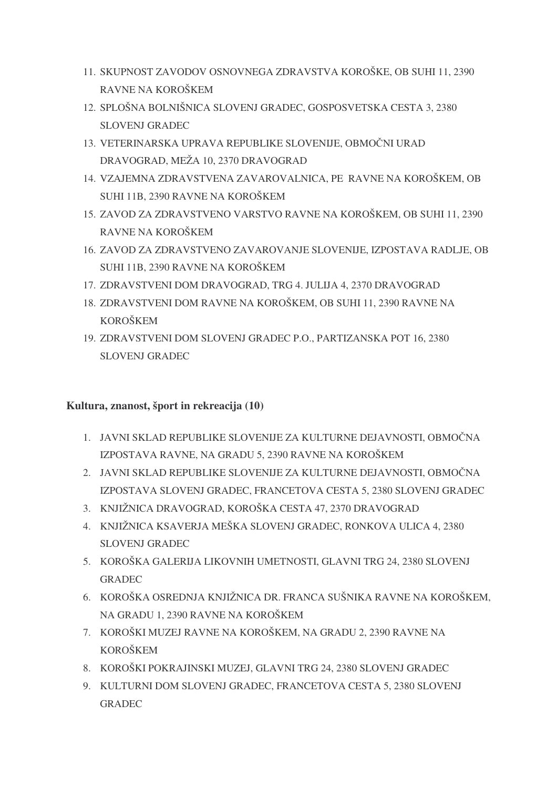- 11. SKUPNOST ZAVODOV OSNOVNEGA ZDRAVSTVA KOROŠKE, OB SUHI 11, 2390 RAVNE NA KOROŠKEM
- 12. SPLOŠNA BOLNIŠNICA SLOVENJ GRADEC, GOSPOSVETSKA CESTA 3, 2380 SLOVENJ GRADEC
- 13. VETERINARSKA UPRAVA REPUBLIKE SLOVENIJE, OBMOČNI URAD DRAVOGRAD, MEŽA 10, 2370 DRAVOGRAD
- 14. VZAJEMNA ZDRAVSTVENA ZAVAROVALNICA, PE RAVNE NA KOROŠKEM, OB SUHI 11B, 2390 RAVNE NA KOROŠKEM
- 15. ZAVOD ZA ZDRAVSTVENO VARSTVO RAVNE NA KOROŠKEM, OB SUHI 11, 2390 RAVNE NA KOROŠKEM
- 16. ZAVOD ZA ZDRAVSTVENO ZAVAROVANJE SLOVENIJE, IZPOSTAVA RADLJE, OB SUHI 11B, 2390 RAVNE NA KOROŠKEM
- 17. ZDRAVSTVENI DOM DRAVOGRAD, TRG 4. JULIJA 4, 2370 DRAVOGRAD
- 18. ZDRAVSTVENI DOM RAVNE NA KOROŠKEM, OB SUHI 11, 2390 RAVNE NA KOROŠKEM
- 19. ZDRAVSTVENI DOM SLOVENJ GRADEC P.O., PARTIZANSKA POT 16, 2380 SLOVENJ GRADEC

#### **Kultura, znanost, šport in rekreacija (10)**

- 1. JAVNI SKLAD REPUBLIKE SLOVENIJE ZA KULTURNE DEJAVNOSTI, OBMOČNA IZPOSTAVA RAVNE, NA GRADU 5, 2390 RAVNE NA KOROŠKEM
- 2. JAVNI SKLAD REPUBLIKE SLOVENIJE ZA KULTURNE DEJAVNOSTI, OBMOČNA IZPOSTAVA SLOVENJ GRADEC, FRANCETOVA CESTA 5, 2380 SLOVENJ GRADEC
- 3. KNJIŽNICA DRAVOGRAD, KOROŠKA CESTA 47, 2370 DRAVOGRAD
- 4. KNJIŽNICA KSAVERJA MEŠKA SLOVENJ GRADEC, RONKOVA ULICA 4, 2380 SLOVENJ GRADEC
- 5. KOROŠKA GALERIJA LIKOVNIH UMETNOSTI, GLAVNI TRG 24, 2380 SLOVENJ GRADEC
- 6. KOROŠKA OSREDNJA KNJIŽNICA DR. FRANCA SUŠNIKA RAVNE NA KOROŠKEM, NA GRADU 1, 2390 RAVNE NA KOROŠKEM
- 7. KOROŠKI MUZEJ RAVNE NA KOROŠKEM, NA GRADU 2, 2390 RAVNE NA KOROŠKEM
- 8. KOROŠKI POKRAJINSKI MUZEJ, GLAVNI TRG 24, 2380 SLOVENJ GRADEC
- 9. KULTURNI DOM SLOVENJ GRADEC, FRANCETOVA CESTA 5, 2380 SLOVENJ GRADEC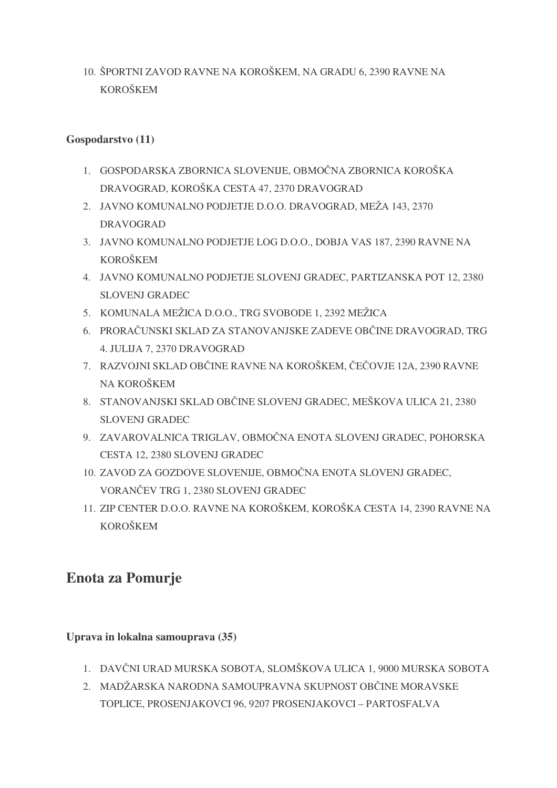10. ŠPORTNI ZAVOD RAVNE NA KOROŠKEM, NA GRADU 6, 2390 RAVNE NA KOROŠKEM

#### **Gospodarstvo (11)**

- 1. GOSPODARSKA ZBORNICA SLOVENIJE, OBMOČNA ZBORNICA KOROŠKA DRAVOGRAD, KOROŠKA CESTA 47, 2370 DRAVOGRAD
- 2. JAVNO KOMUNALNO PODJETJE D.O.O. DRAVOGRAD, MEŽA 143, 2370 DRAVOGRAD
- 3. JAVNO KOMUNALNO PODJETJE LOG D.O.O., DOBJA VAS 187, 2390 RAVNE NA KOROŠKEM
- 4. JAVNO KOMUNALNO PODJETJE SLOVENJ GRADEC, PARTIZANSKA POT 12, 2380 SLOVENJ GRADEC
- 5. KOMUNALA MEŽICA D.O.O., TRG SVOBODE 1, 2392 MEŽICA
- 6. PRORAČUNSKI SKLAD ZA STANOVANJSKE ZADEVE OBČINE DRAVOGRAD, TRG 4. JULIJA 7, 2370 DRAVOGRAD
- 7. RAZVOJNI SKLAD OBČINE RAVNE NA KOROŠKEM, ČEČOVJE 12A, 2390 RAVNE NA KOROŠKEM
- 8. STANOVANJSKI SKLAD OBČINE SLOVENJ GRADEC, MEŠKOVA ULICA 21, 2380 SLOVENJ GRADEC
- 9. ZAVAROVALNICA TRIGLAV, OBMOČNA ENOTA SLOVENJ GRADEC, POHORSKA CESTA 12, 2380 SLOVENJ GRADEC
- 10. ZAVOD ZA GOZDOVE SLOVENIJE, OBMOČNA ENOTA SLOVENJ GRADEC, VORANČEV TRG 1, 2380 SLOVENJ GRADEC
- 11. ZIP CENTER D.O.O. RAVNE NA KOROŠKEM, KOROŠKA CESTA 14, 2390 RAVNE NA KOROŠKEM

## **Enota za Pomurje**

#### **Uprava in lokalna samouprava (35)**

- 1. DAVČNI URAD MURSKA SOBOTA, SLOMŠKOVA ULICA 1, 9000 MURSKA SOBOTA
- 2. MADŽARSKA NARODNA SAMOUPRAVNA SKUPNOST OBČINE MORAVSKE TOPLICE, PROSENJAKOVCI 96, 9207 PROSENJAKOVCI – PARTOSFALVA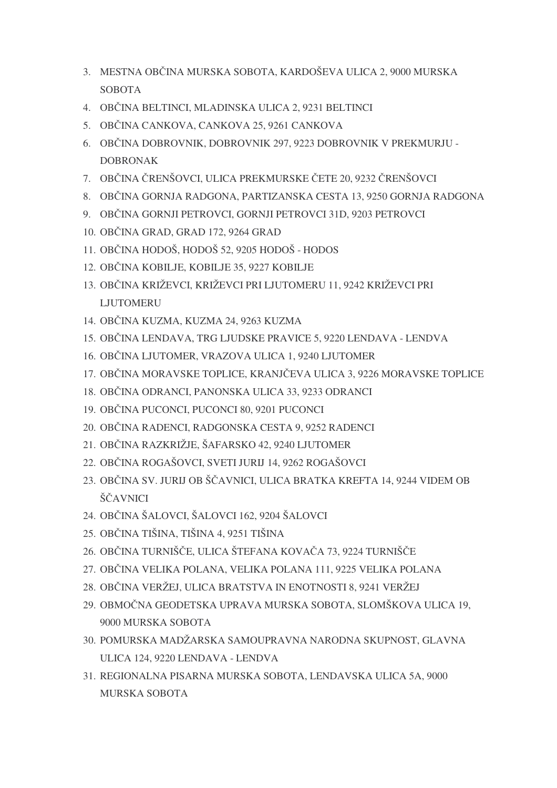- 3. MESTNA OBČINA MURSKA SOBOTA, KARDOŠEVA ULICA 2, 9000 MURSKA **SOBOTA**
- 4. OBČINA BELTINCI, MLADINSKA ULICA 2, 9231 BELTINCI
- 5. OBČINA CANKOVA, CANKOVA 25, 9261 CANKOVA
- 6. OBČINA DOBROVNIK, DOBROVNIK 297, 9223 DOBROVNIK V PREKMURJU -DOBRONAK
- 7. OBČINA ČRENŠOVCI, ULICA PREKMURSKE ČETE 20, 9232 ČRENŠOVCI
- 8. OBČINA GORNJA RADGONA, PARTIZANSKA CESTA 13, 9250 GORNJA RADGONA
- 9. OBČINA GORNJI PETROVCI, GORNJI PETROVCI 31D, 9203 PETROVCI
- 10. OBČINA GRAD, GRAD 172, 9264 GRAD
- 11. OBČINA HODOŠ, HODOŠ 52, 9205 HODOŠ HODOS
- 12. OBČINA KOBILJE, KOBILJE 35, 9227 KOBILJE
- 13. OBČINA KRIŽEVCI, KRIŽEVCI PRI LJUTOMERU 11, 9242 KRIŽEVCI PRI LJUTOMERU
- 14. OBČINA KUZMA, KUZMA 24, 9263 KUZMA
- 15. OBČINA LENDAVA, TRG LJUDSKE PRAVICE 5, 9220 LENDAVA LENDVA
- 16. OBČINA LJUTOMER, VRAZOVA ULICA 1, 9240 LJUTOMER
- 17. OBČINA MORAVSKE TOPLICE, KRANJČEVA ULICA 3, 9226 MORAVSKE TOPLICE
- 18. OBČINA ODRANCI, PANONSKA ULICA 33, 9233 ODRANCI
- 19. OBČINA PUCONCI, PUCONCI 80, 9201 PUCONCI
- 20. OBČINA RADENCI, RADGONSKA CESTA 9, 9252 RADENCI
- 21. OBČINA RAZKRIŽJE, ŠAFARSKO 42, 9240 LJUTOMER
- 22. OBČINA ROGAŠOVCI, SVETI JURIJ 14, 9262 ROGAŠOVCI
- 23. OBČINA SV. JURIJ OB ŠČAVNICI, ULICA BRATKA KREFTA 14, 9244 VIDEM OB ŠČAVNICI
- 24. OBČINA ŠALOVCI, ŠALOVCI 162, 9204 ŠALOVCI
- 25. OBČINA TIŠINA, TIŠINA 4, 9251 TIŠINA
- 26. OBČINA TURNIŠČE, ULICA ŠTEFANA KOVAČA 73, 9224 TURNIŠČE
- 27. OBČINA VELIKA POLANA, VELIKA POLANA 111, 9225 VELIKA POLANA
- 28. OBČINA VERŽEJ, ULICA BRATSTVA IN ENOTNOSTI 8, 9241 VERŽEJ
- 29. OBMOČNA GEODETSKA UPRAVA MURSKA SOBOTA, SLOMŠKOVA ULICA 19, 9000 MURSKA SOBOTA
- 30. POMURSKA MADŽARSKA SAMOUPRAVNA NARODNA SKUPNOST, GLAVNA ULICA 124, 9220 LENDAVA - LENDVA
- 31. REGIONALNA PISARNA MURSKA SOBOTA, LENDAVSKA ULICA 5A, 9000 MURSKA SOBOTA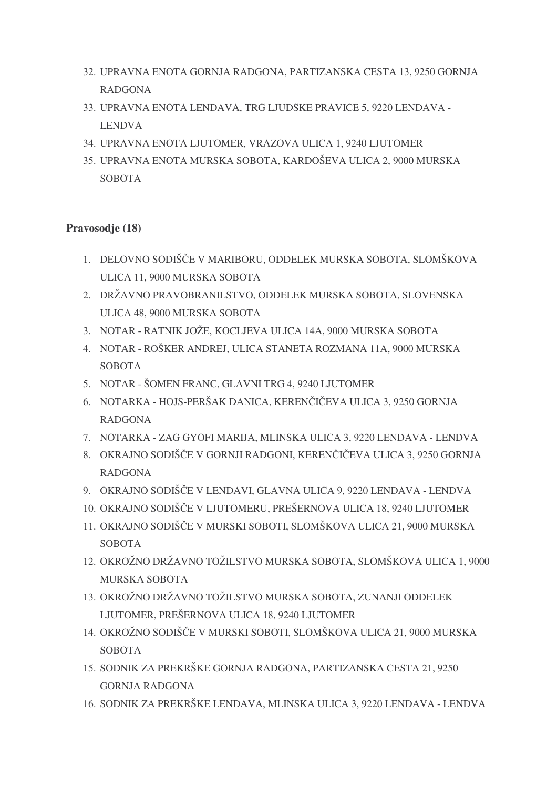- 32. UPRAVNA ENOTA GORNJA RADGONA, PARTIZANSKA CESTA 13, 9250 GORNJA RADGONA
- 33. UPRAVNA ENOTA LENDAVA, TRG LJUDSKE PRAVICE 5, 9220 LENDAVA LENDVA
- 34. UPRAVNA ENOTA LJUTOMER, VRAZOVA ULICA 1, 9240 LJUTOMER
- 35. UPRAVNA ENOTA MURSKA SOBOTA, KARDOŠEVA ULICA 2, 9000 MURSKA **SOBOTA**

#### **Pravosodje (18)**

- 1. DELOVNO SODIŠČE V MARIBORU, ODDELEK MURSKA SOBOTA, SLOMŠKOVA ULICA 11, 9000 MURSKA SOBOTA
- 2. DRŽAVNO PRAVOBRANILSTVO, ODDELEK MURSKA SOBOTA, SLOVENSKA ULICA 48, 9000 MURSKA SOBOTA
- 3. NOTAR RATNIK JOŽE, KOCLJEVA ULICA 14A, 9000 MURSKA SOBOTA
- 4. NOTAR ROŠKER ANDREJ, ULICA STANETA ROZMANA 11A, 9000 MURSKA **SOBOTA**
- 5. NOTAR ŠOMEN FRANC, GLAVNI TRG 4, 9240 LJUTOMER
- 6. NOTARKA HOJS-PERŠAK DANICA, KERENČIČEVA ULICA 3, 9250 GORNJA RADGONA
- 7. NOTARKA ZAG GYOFI MARIJA, MLINSKA ULICA 3, 9220 LENDAVA LENDVA
- 8. OKRAJNO SODIŠČE V GORNJI RADGONI, KERENČIČEVA ULICA 3, 9250 GORNJA RADGONA
- 9. OKRAJNO SODIŠČE V LENDAVI, GLAVNA ULICA 9, 9220 LENDAVA LENDVA
- 10. OKRAJNO SODIŠČE V LJUTOMERU, PREŠERNOVA ULICA 18, 9240 LJUTOMER
- 11. OKRAJNO SODIŠČE V MURSKI SOBOTI, SLOMŠKOVA ULICA 21, 9000 MURSKA SOBOTA
- 12. OKROŽNO DRŽAVNO TOŽILSTVO MURSKA SOBOTA, SLOMŠKOVA ULICA 1, 9000 MURSKA SOBOTA
- 13. OKROŽNO DRŽAVNO TOŽILSTVO MURSKA SOBOTA, ZUNANJI ODDELEK LJUTOMER, PREŠERNOVA ULICA 18, 9240 LJUTOMER
- 14. OKROŽNO SODIŠČE V MURSKI SOBOTI, SLOMŠKOVA ULICA 21, 9000 MURSKA SOBOTA
- 15. SODNIK ZA PREKRŠKE GORNJA RADGONA, PARTIZANSKA CESTA 21, 9250 GORNJA RADGONA
- 16. SODNIK ZA PREKRŠKE LENDAVA, MLINSKA ULICA 3, 9220 LENDAVA LENDVA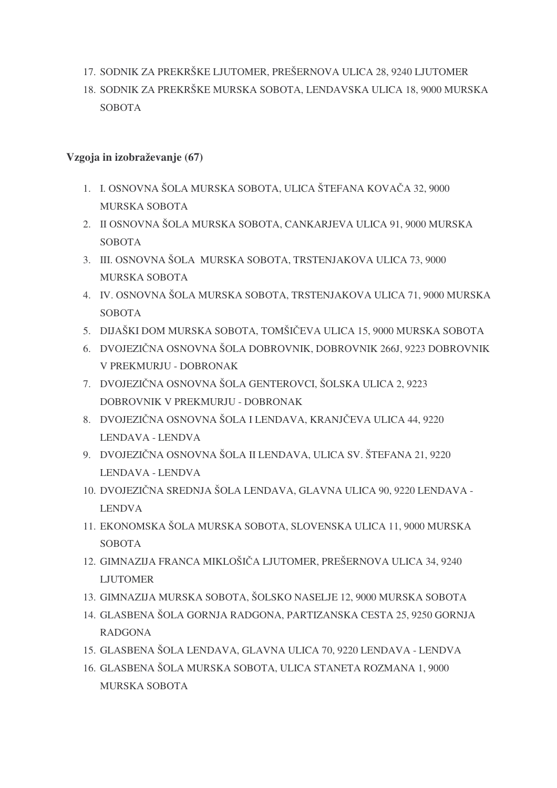- 17. SODNIK ZA PREKRŠKE LJUTOMER, PREŠERNOVA ULICA 28, 9240 LJUTOMER
- 18. SODNIK ZA PREKRŠKE MURSKA SOBOTA, LENDAVSKA ULICA 18, 9000 MURSKA **SOBOTA**

#### **Vzgoja in izobraževanje (67)**

- 1. I. OSNOVNA ŠOLA MURSKA SOBOTA, ULICA ŠTEFANA KOVAČA 32, 9000 MURSKA SOBOTA
- 2. II OSNOVNA ŠOLA MURSKA SOBOTA, CANKARJEVA ULICA 91, 9000 MURSKA **SOBOTA**
- 3. III. OSNOVNA ŠOLA MURSKA SOBOTA, TRSTENJAKOVA ULICA 73, 9000 MURSKA SOBOTA
- 4. IV. OSNOVNA ŠOLA MURSKA SOBOTA, TRSTENJAKOVA ULICA 71, 9000 MURSKA **SOBOTA**
- 5. DIJAŠKI DOM MURSKA SOBOTA, TOMŠIČEVA ULICA 15, 9000 MURSKA SOBOTA
- 6. DVOJEZIČNA OSNOVNA ŠOLA DOBROVNIK, DOBROVNIK 266J, 9223 DOBROVNIK V PREKMURJU - DOBRONAK
- 7. DVOJEZIČNA OSNOVNA ŠOLA GENTEROVCI, ŠOLSKA ULICA 2, 9223 DOBROVNIK V PREKMURJU - DOBRONAK
- 8. DVOJEZIČNA OSNOVNA ŠOLA I LENDAVA, KRANJČEVA ULICA 44, 9220 LENDAVA - LENDVA
- 9. DVOJEZIČNA OSNOVNA ŠOLA II LENDAVA, ULICA SV. ŠTEFANA 21, 9220 LENDAVA - LENDVA
- 10. DVOJEZIČNA SREDNJA ŠOLA LENDAVA, GLAVNA ULICA 90, 9220 LENDAVA -LENDVA
- 11. EKONOMSKA ŠOLA MURSKA SOBOTA, SLOVENSKA ULICA 11, 9000 MURSKA **SOBOTA**
- 12. GIMNAZIJA FRANCA MIKLOŠIČA LJUTOMER, PREŠERNOVA ULICA 34, 9240 LJUTOMER
- 13. GIMNAZIJA MURSKA SOBOTA, ŠOLSKO NASELJE 12, 9000 MURSKA SOBOTA
- 14. GLASBENA ŠOLA GORNJA RADGONA, PARTIZANSKA CESTA 25, 9250 GORNJA RADGONA
- 15. GLASBENA ŠOLA LENDAVA, GLAVNA ULICA 70, 9220 LENDAVA LENDVA
- 16. GLASBENA ŠOLA MURSKA SOBOTA, ULICA STANETA ROZMANA 1, 9000 MURSKA SOBOTA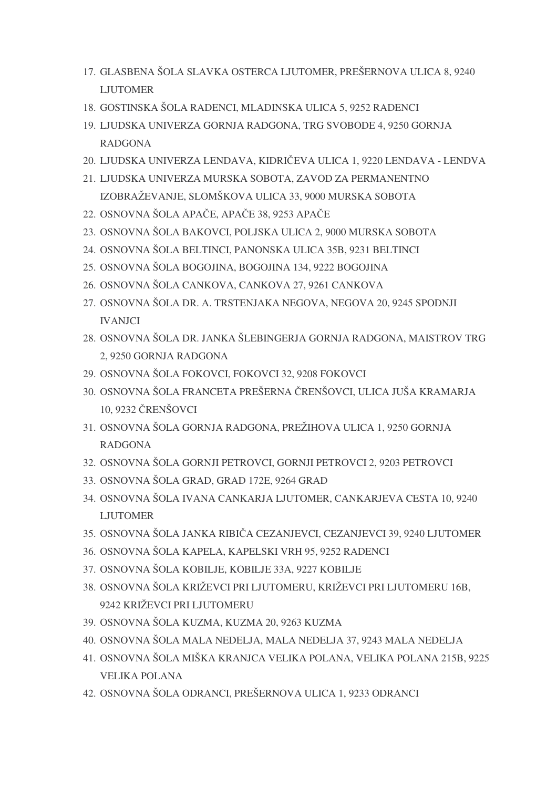- 17. GLASBENA ŠOLA SLAVKA OSTERCA LJUTOMER, PREŠERNOVA ULICA 8, 9240 LJUTOMER
- 18. GOSTINSKA ŠOLA RADENCI, MLADINSKA ULICA 5, 9252 RADENCI
- 19. LJUDSKA UNIVERZA GORNJA RADGONA, TRG SVOBODE 4, 9250 GORNJA RADGONA
- 20. LJUDSKA UNIVERZA LENDAVA, KIDRIČEVA ULICA 1, 9220 LENDAVA LENDVA
- 21. LJUDSKA UNIVERZA MURSKA SOBOTA, ZAVOD ZA PERMANENTNO IZOBRAŽEVANJE, SLOMŠKOVA ULICA 33, 9000 MURSKA SOBOTA
- 22. OSNOVNA ŠOLA APAČE, APAČE 38, 9253 APAČE
- 23. OSNOVNA ŠOLA BAKOVCI, POLJSKA ULICA 2, 9000 MURSKA SOBOTA
- 24. OSNOVNA ŠOLA BELTINCI, PANONSKA ULICA 35B, 9231 BELTINCI
- 25. OSNOVNA ŠOLA BOGOJINA, BOGOJINA 134, 9222 BOGOJINA
- 26. OSNOVNA ŠOLA CANKOVA, CANKOVA 27, 9261 CANKOVA
- 27. OSNOVNA ŠOLA DR. A. TRSTENJAKA NEGOVA, NEGOVA 20, 9245 SPODNJI IVANJCI
- 28. OSNOVNA ŠOLA DR. JANKA ŠLEBINGERJA GORNJA RADGONA, MAISTROV TRG 2, 9250 GORNJA RADGONA
- 29. OSNOVNA ŠOLA FOKOVCI, FOKOVCI 32, 9208 FOKOVCI
- 30. OSNOVNA ŠOLA FRANCETA PREŠERNA ČRENŠOVCI, ULICA JUŠA KRAMARJA 10, 9232 ČRENŠOVCI
- 31. OSNOVNA ŠOLA GORNJA RADGONA, PREŽIHOVA ULICA 1, 9250 GORNJA RADGONA
- 32. OSNOVNA ŠOLA GORNJI PETROVCI, GORNJI PETROVCI 2, 9203 PETROVCI
- 33. OSNOVNA ŠOLA GRAD, GRAD 172E, 9264 GRAD
- 34. OSNOVNA ŠOLA IVANA CANKARJA LJUTOMER, CANKARJEVA CESTA 10, 9240 LJUTOMER
- 35. OSNOVNA ŠOLA JANKA RIBIČA CEZANJEVCI, CEZANJEVCI 39, 9240 LJUTOMER
- 36. OSNOVNA ŠOLA KAPELA, KAPELSKI VRH 95, 9252 RADENCI
- 37. OSNOVNA ŠOLA KOBILJE, KOBILJE 33A, 9227 KOBILJE
- 38. OSNOVNA ŠOLA KRIŽEVCI PRI LJUTOMERU, KRIŽEVCI PRI LJUTOMERU 16B, 9242 KRIŽEVCI PRI LJUTOMERU
- 39. OSNOVNA ŠOLA KUZMA, KUZMA 20, 9263 KUZMA
- 40. OSNOVNA ŠOLA MALA NEDELJA, MALA NEDELJA 37, 9243 MALA NEDELJA
- 41. OSNOVNA ŠOLA MIŠKA KRANJCA VELIKA POLANA, VELIKA POLANA 215B, 9225 VELIKA POLANA
- 42. OSNOVNA ŠOLA ODRANCI, PREŠERNOVA ULICA 1, 9233 ODRANCI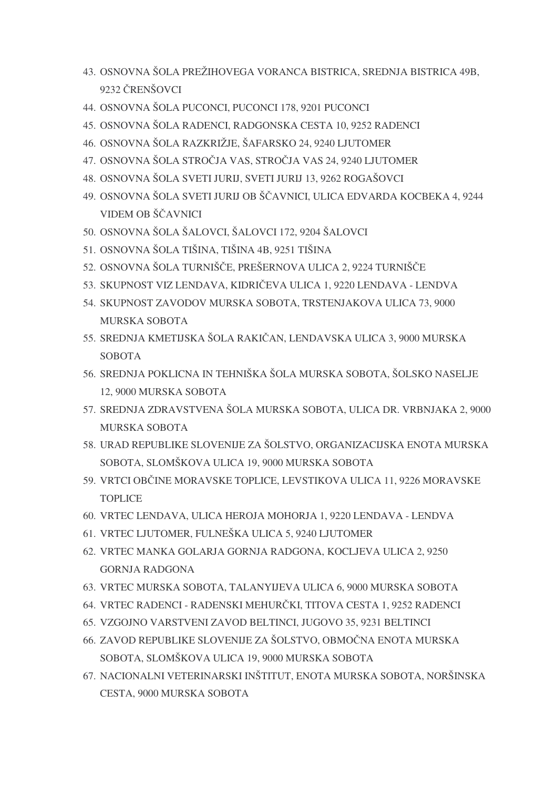- 43. OSNOVNA ŠOLA PREŽIHOVEGA VORANCA BISTRICA, SREDNJA BISTRICA 49B, 9232 ČRENŠOVCI
- 44. OSNOVNA ŠOLA PUCONCI, PUCONCI 178, 9201 PUCONCI
- 45. OSNOVNA ŠOLA RADENCI, RADGONSKA CESTA 10, 9252 RADENCI
- 46. OSNOVNA ŠOLA RAZKRIŽJE, ŠAFARSKO 24, 9240 LJUTOMER
- 47. OSNOVNA ŠOLA STROČJA VAS, STROČJA VAS 24, 9240 LJUTOMER
- 48. OSNOVNA ŠOLA SVETI JURIJ, SVETI JURIJ 13, 9262 ROGAŠOVCI
- 49. OSNOVNA ŠOLA SVETI JURIJ OB ŠČAVNICI, ULICA EDVARDA KOCBEKA 4, 9244 VIDEM OB ŠČAVNICI
- 50. OSNOVNA ŠOLA ŠALOVCI, ŠALOVCI 172, 9204 ŠALOVCI
- 51. OSNOVNA ŠOLA TIŠINA, TIŠINA 4B, 9251 TIŠINA
- 52. OSNOVNA ŠOLA TURNIŠČE, PREŠERNOVA ULICA 2, 9224 TURNIŠČE
- 53. SKUPNOST VIZ LENDAVA, KIDRIČEVA ULICA 1, 9220 LENDAVA LENDVA
- 54. SKUPNOST ZAVODOV MURSKA SOBOTA, TRSTENJAKOVA ULICA 73, 9000 MURSKA SOBOTA
- 55. SREDNJA KMETIJSKA ŠOLA RAKIČAN, LENDAVSKA ULICA 3, 9000 MURSKA SOBOTA
- 56. SREDNJA POKLICNA IN TEHNIŠKA ŠOLA MURSKA SOBOTA, ŠOLSKO NASELJE 12, 9000 MURSKA SOBOTA
- 57. SREDNJA ZDRAVSTVENA ŠOLA MURSKA SOBOTA, ULICA DR. VRBNJAKA 2, 9000 MURSKA SOBOTA
- 58. URAD REPUBLIKE SLOVENIJE ZA ŠOLSTVO, ORGANIZACIJSKA ENOTA MURSKA SOBOTA, SLOMŠKOVA ULICA 19, 9000 MURSKA SOBOTA
- 59. VRTCI OBČINE MORAVSKE TOPLICE, LEVSTIKOVA ULICA 11, 9226 MORAVSKE **TOPLICE**
- 60. VRTEC LENDAVA, ULICA HEROJA MOHORJA 1, 9220 LENDAVA LENDVA
- 61. VRTEC LJUTOMER, FULNEŠKA ULICA 5, 9240 LJUTOMER
- 62. VRTEC MANKA GOLARJA GORNJA RADGONA, KOCLJEVA ULICA 2, 9250 GORNJA RADGONA
- 63. VRTEC MURSKA SOBOTA, TALANYIJEVA ULICA 6, 9000 MURSKA SOBOTA
- 64. VRTEC RADENCI RADENSKI MEHURČKI, TITOVA CESTA 1, 9252 RADENCI
- 65. VZGOJNO VARSTVENI ZAVOD BELTINCI, JUGOVO 35, 9231 BELTINCI
- 66. ZAVOD REPUBLIKE SLOVENIJE ZA ŠOLSTVO, OBMOČNA ENOTA MURSKA SOBOTA, SLOMŠKOVA ULICA 19, 9000 MURSKA SOBOTA
- 67. NACIONALNI VETERINARSKI INŠTITUT, ENOTA MURSKA SOBOTA, NORŠINSKA CESTA, 9000 MURSKA SOBOTA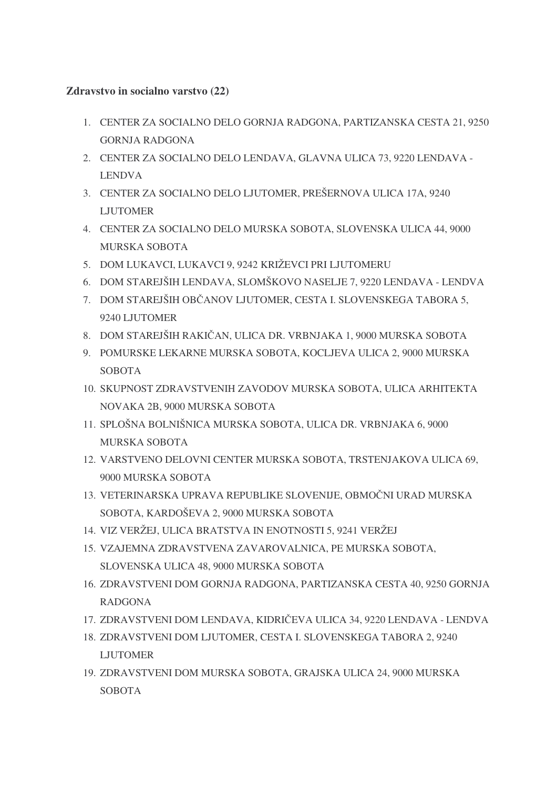#### **Zdravstvo in socialno varstvo (22)**

- 1. CENTER ZA SOCIALNO DELO GORNJA RADGONA, PARTIZANSKA CESTA 21, 9250 GORNJA RADGONA
- 2. CENTER ZA SOCIALNO DELO LENDAVA, GLAVNA ULICA 73, 9220 LENDAVA LENDVA
- 3. CENTER ZA SOCIALNO DELO LJUTOMER, PREŠERNOVA ULICA 17A, 9240 LJUTOMER
- 4. CENTER ZA SOCIALNO DELO MURSKA SOBOTA, SLOVENSKA ULICA 44, 9000 MURSKA SOBOTA
- 5. DOM LUKAVCI, LUKAVCI 9, 9242 KRIŽEVCI PRI LJUTOMERU
- 6. DOM STAREJŠIH LENDAVA, SLOMŠKOVO NASELJE 7, 9220 LENDAVA LENDVA
- 7. DOM STAREJŠIH OBČANOV LJUTOMER, CESTA I. SLOVENSKEGA TABORA 5, 9240 LJUTOMER
- 8. DOM STAREJŠIH RAKIČAN, ULICA DR. VRBNJAKA 1, 9000 MURSKA SOBOTA
- 9. POMURSKE LEKARNE MURSKA SOBOTA, KOCLJEVA ULICA 2, 9000 MURSKA SOBOTA
- 10. SKUPNOST ZDRAVSTVENIH ZAVODOV MURSKA SOBOTA, ULICA ARHITEKTA NOVAKA 2B, 9000 MURSKA SOBOTA
- 11. SPLOŠNA BOLNIŠNICA MURSKA SOBOTA, ULICA DR. VRBNJAKA 6, 9000 MURSKA SOBOTA
- 12. VARSTVENO DELOVNI CENTER MURSKA SOBOTA, TRSTENJAKOVA ULICA 69, 9000 MURSKA SOBOTA
- 13. VETERINARSKA UPRAVA REPUBLIKE SLOVENIJE, OBMOČNI URAD MURSKA SOBOTA, KARDOŠEVA 2, 9000 MURSKA SOBOTA
- 14. VIZ VERŽEJ, ULICA BRATSTVA IN ENOTNOSTI 5, 9241 VERŽEJ
- 15. VZAJEMNA ZDRAVSTVENA ZAVAROVALNICA, PE MURSKA SOBOTA, SLOVENSKA ULICA 48, 9000 MURSKA SOBOTA
- 16. ZDRAVSTVENI DOM GORNJA RADGONA, PARTIZANSKA CESTA 40, 9250 GORNJA RADGONA
- 17. ZDRAVSTVENI DOM LENDAVA, KIDRIČEVA ULICA 34, 9220 LENDAVA LENDVA
- 18. ZDRAVSTVENI DOM LJUTOMER, CESTA I. SLOVENSKEGA TABORA 2, 9240 LJUTOMER
- 19. ZDRAVSTVENI DOM MURSKA SOBOTA, GRAJSKA ULICA 24, 9000 MURSKA **SOBOTA**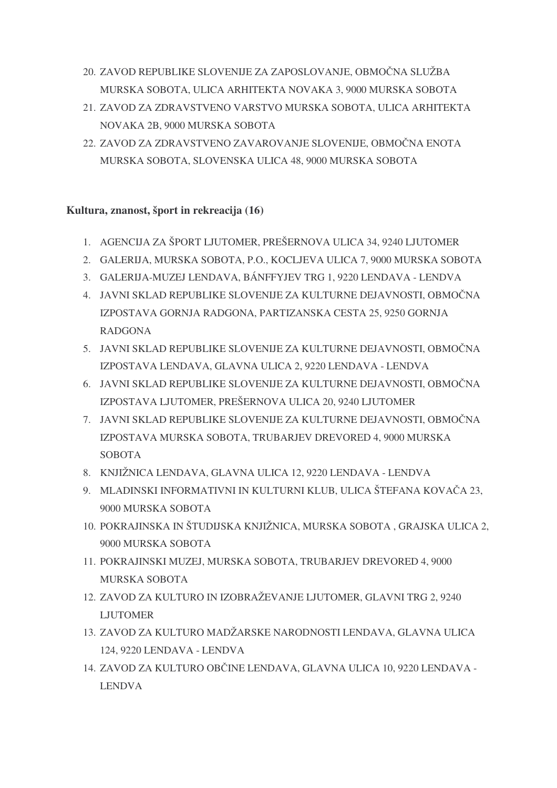- 20. ZAVOD REPUBLIKE SLOVENIJE ZA ZAPOSLOVANJE, OBMOČNA SLUŽBA MURSKA SOBOTA, ULICA ARHITEKTA NOVAKA 3, 9000 MURSKA SOBOTA
- 21. ZAVOD ZA ZDRAVSTVENO VARSTVO MURSKA SOBOTA, ULICA ARHITEKTA NOVAKA 2B, 9000 MURSKA SOBOTA
- 22. ZAVOD ZA ZDRAVSTVENO ZAVAROVANJE SLOVENIJE, OBMOČNA ENOTA MURSKA SOBOTA, SLOVENSKA ULICA 48, 9000 MURSKA SOBOTA

#### **Kultura, znanost, šport in rekreacija (16)**

- 1. AGENCIJA ZA ŠPORT LJUTOMER, PREŠERNOVA ULICA 34, 9240 LJUTOMER
- 2. GALERIJA, MURSKA SOBOTA, P.O., KOCLJEVA ULICA 7, 9000 MURSKA SOBOTA
- 3. GALERIJA-MUZEJ LENDAVA, BÁNFFYJEV TRG 1, 9220 LENDAVA LENDVA
- 4. JAVNI SKLAD REPUBLIKE SLOVENIJE ZA KULTURNE DEJAVNOSTI, OBMOČNA IZPOSTAVA GORNJA RADGONA, PARTIZANSKA CESTA 25, 9250 GORNJA RADGONA
- 5. JAVNI SKLAD REPUBLIKE SLOVENIJE ZA KULTURNE DEJAVNOSTI, OBMOČNA IZPOSTAVA LENDAVA, GLAVNA ULICA 2, 9220 LENDAVA - LENDVA
- 6. JAVNI SKLAD REPUBLIKE SLOVENIJE ZA KULTURNE DEJAVNOSTI, OBMOČNA IZPOSTAVA LJUTOMER, PREŠERNOVA ULICA 20, 9240 LJUTOMER
- 7. JAVNI SKLAD REPUBLIKE SLOVENIJE ZA KULTURNE DEJAVNOSTI, OBMOČNA IZPOSTAVA MURSKA SOBOTA, TRUBARJEV DREVORED 4, 9000 MURSKA **SOBOTA**
- 8. KNJIŽNICA LENDAVA, GLAVNA ULICA 12, 9220 LENDAVA LENDVA
- 9. MLADINSKI INFORMATIVNI IN KULTURNI KLUB, ULICA ŠTEFANA KOVAČA 23, 9000 MURSKA SOBOTA
- 10. POKRAJINSKA IN ŠTUDIJSKA KNJIŽNICA, MURSKA SOBOTA , GRAJSKA ULICA 2, 9000 MURSKA SOBOTA
- 11. POKRAJINSKI MUZEJ, MURSKA SOBOTA, TRUBARJEV DREVORED 4, 9000 MURSKA SOBOTA
- 12. ZAVOD ZA KULTURO IN IZOBRAŽEVANJE LJUTOMER, GLAVNI TRG 2, 9240 LJUTOMER
- 13. ZAVOD ZA KULTURO MADŽARSKE NARODNOSTI LENDAVA, GLAVNA ULICA 124, 9220 LENDAVA - LENDVA
- 14. ZAVOD ZA KULTURO OBČINE LENDAVA, GLAVNA ULICA 10, 9220 LENDAVA -LENDVA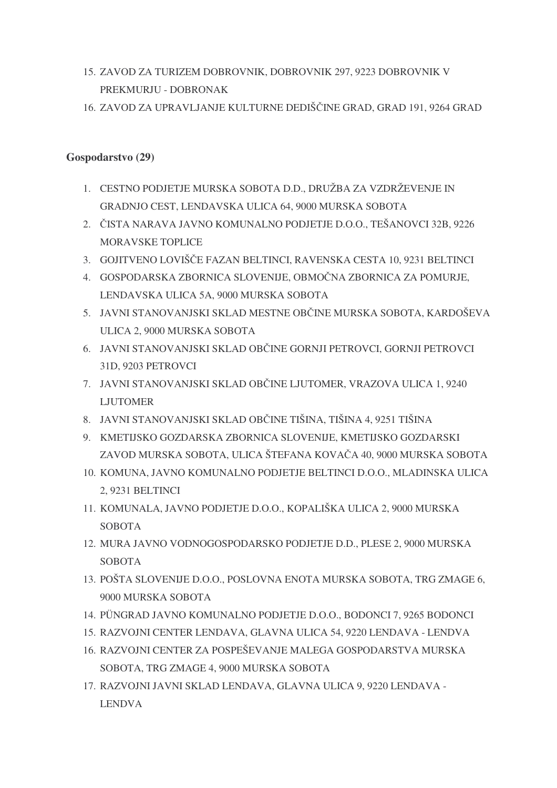- 15. ZAVOD ZA TURIZEM DOBROVNIK, DOBROVNIK 297, 9223 DOBROVNIK V PREKMURJU - DOBRONAK
- 16. ZAVOD ZA UPRAVLJANJE KULTURNE DEDIŠČINE GRAD, GRAD 191, 9264 GRAD

#### **Gospodarstvo (29)**

- 1. CESTNO PODJETJE MURSKA SOBOTA D.D., DRUŽBA ZA VZDRŽEVENJE IN GRADNJO CEST, LENDAVSKA ULICA 64, 9000 MURSKA SOBOTA
- 2. -ISTA NARAVA JAVNO KOMUNALNO PODJETJE D.O.O., TEŠANOVCI 32B, 9226 MORAVSKE TOPLICE
- 3. GOJITVENO LOVIŠČE FAZAN BELTINCI, RAVENSKA CESTA 10, 9231 BELTINCI
- 4. GOSPODARSKA ZBORNICA SLOVENIJE, OBMOČNA ZBORNICA ZA POMURJE, LENDAVSKA ULICA 5A, 9000 MURSKA SOBOTA
- 5. JAVNI STANOVANJSKI SKLAD MESTNE OBČINE MURSKA SOBOTA, KARDOŠEVA ULICA 2, 9000 MURSKA SOBOTA
- 6. JAVNI STANOVANJSKI SKLAD OBČINE GORNJI PETROVCI, GORNJI PETROVCI 31D, 9203 PETROVCI
- 7. JAVNI STANOVANJSKI SKLAD OBČINE LJUTOMER, VRAZOVA ULICA 1,9240 LJUTOMER
- 8. JAVNI STANOVANJSKI SKLAD OBČINE TIŠINA, TIŠINA 4, 9251 TIŠINA
- 9. KMETIJSKO GOZDARSKA ZBORNICA SLOVENIJE, KMETIJSKO GOZDARSKI ZAVOD MURSKA SOBOTA, ULICA ŠTEFANA KOVAČA 40, 9000 MURSKA SOBOTA
- 10. KOMUNA, JAVNO KOMUNALNO PODJETJE BELTINCI D.O.O., MLADINSKA ULICA 2, 9231 BELTINCI
- 11. KOMUNALA, JAVNO PODJETJE D.O.O., KOPALIŠKA ULICA 2, 9000 MURSKA **SOBOTA**
- 12. MURA JAVNO VODNOGOSPODARSKO PODJETJE D.D., PLESE 2, 9000 MURSKA **SOBOTA**
- 13. POŠTA SLOVENIJE D.O.O., POSLOVNA ENOTA MURSKA SOBOTA, TRG ZMAGE 6, 9000 MURSKA SOBOTA
- 14. PÜNGRAD JAVNO KOMUNALNO PODJETJE D.O.O., BODONCI 7, 9265 BODONCI
- 15. RAZVOJNI CENTER LENDAVA, GLAVNA ULICA 54, 9220 LENDAVA LENDVA
- 16. RAZVOJNI CENTER ZA POSPEŠEVANJE MALEGA GOSPODARSTVA MURSKA SOBOTA, TRG ZMAGE 4, 9000 MURSKA SOBOTA
- 17. RAZVOJNI JAVNI SKLAD LENDAVA, GLAVNA ULICA 9, 9220 LENDAVA LENDVA